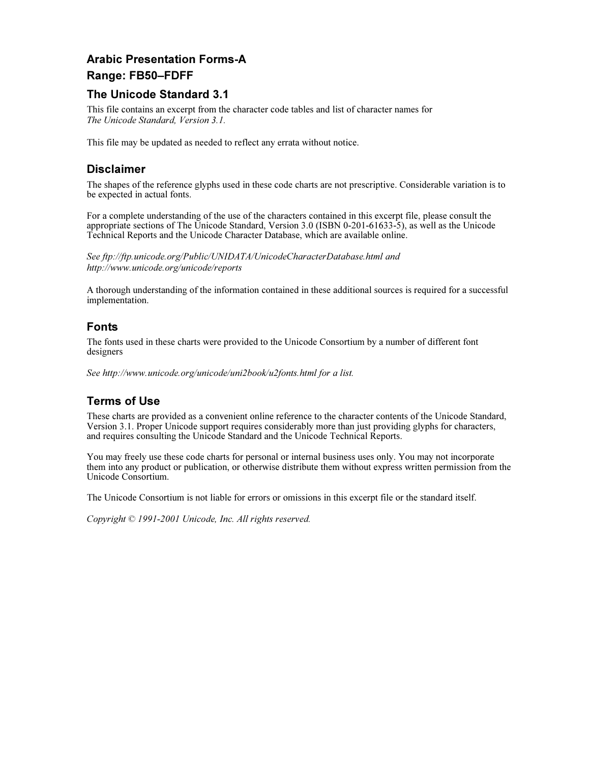# Arabic Presentation Forms-A

#### Range: FB50–FDFF

#### The Unicode Standard 3.1

This file contains an excerpt from the character code tables and list of character names for The Unicode Standard, Version 3.1.

This file may be updated as needed to reflect any errata without notice.

#### **Disclaimer**

The shapes of the reference glyphs used in these code charts are not prescriptive. Considerable variation is to be expected in actual fonts.

For a complete understanding of the use of the characters contained in this excerpt file, please consult the appropriate sections of The Unicode Standard, Version 3.0 (ISBN 0-201-61633-5), as well as the Unicode Technical Reports and the Unicode Character Database, which are available online.

See ftp://ftp.unicode.org/Public/UNIDATA/UnicodeCharacterDatabase.html and http://www.unicode.org/unicode/reports

A thorough understanding of the information contained in these additional sources is required for a successful implementation.

#### Fonts

The fonts used in these charts were provided to the Unicode Consortium by a number of different font designers

See http://www.unicode.org/unicode/uni2book/u2fonts.html for a list.

#### Terms of Use

These charts are provided as a convenient online reference to the character contents of the Unicode Standard, Version 3.1. Proper Unicode support requires considerably more than just providing glyphs for characters, and requires consulting the Unicode Standard and the Unicode Technical Reports.

You may freely use these code charts for personal or internal business uses only. You may not incorporate them into any product or publication, or otherwise distribute them without express written permission from the Unicode Consortium.

The Unicode Consortium is not liable for errors or omissions in this excerpt file or the standard itself.

Copyright © 1991-2001 Unicode, Inc. All rights reserved.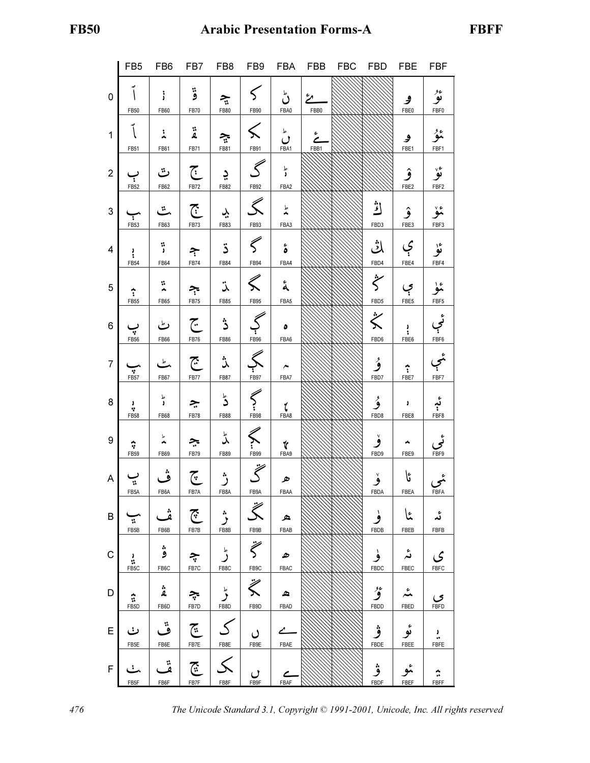|                | FB <sub>5</sub>       | FB <sub>6</sub> | FB7                       | FB8                  | FB9                          | FBA                          | <b>FBB</b> | <b>FBC</b> | <b>FBD</b>                | <b>FBE</b>                | <b>FBF</b>         |
|----------------|-----------------------|-----------------|---------------------------|----------------------|------------------------------|------------------------------|------------|------------|---------------------------|---------------------------|--------------------|
|                |                       |                 |                           |                      |                              |                              |            |            |                           |                           |                    |
| $\mathsf 0$    |                       |                 | ۋ                         |                      |                              | ڻ                            |            |            |                           |                           | ئۇ                 |
|                |                       |                 |                           | $\tilde{\mathbf{z}}$ |                              |                              | مځ         |            |                           | و                         |                    |
|                | FB50                  | FB60            | FB70                      | FB80                 | FB90                         | FBA0                         | FBB0       |            |                           | FBE0                      | FBF0               |
|                |                       |                 |                           |                      |                              |                              |            |            |                           |                           |                    |
|                |                       |                 |                           |                      |                              |                              |            |            |                           |                           |                    |
| $\mathbf{1}$   |                       | 主               | $\ddot{\mathbf{z}}$       | $\tilde{\mathbf{z}}$ | $\leqslant$                  | ِ<br>ل                       | خ          |            |                           | ۅ                         | ئمۇ                |
|                |                       |                 |                           |                      |                              |                              |            |            |                           |                           |                    |
|                | FB51                  | FB61            | <b>FB71</b>               | FB81                 | FB91                         | FBA1                         | FBB1       |            |                           | FBE1                      | FBF1               |
|                |                       |                 |                           |                      |                              |                              |            |            |                           |                           |                    |
|                |                       | ٽ               | $\overline{\mathfrak{C}}$ |                      | $\mathcal S$                 | ط<br>ل                       |            |            |                           |                           | ئۆ                 |
| $\overline{2}$ |                       |                 |                           | ڍ                    |                              |                              |            |            |                           | ۉ                         |                    |
|                | FB52                  | FB62            | FB72                      | FB82                 | FB92                         | FBA2                         |            |            |                           | FBE2                      | FBF2               |
|                |                       |                 |                           |                      |                              |                              |            |            |                           |                           |                    |
|                |                       |                 |                           |                      |                              |                              |            |            |                           |                           |                    |
| $\mathbf{3}$   |                       | ٽ               | $\tilde{C}$               | بڊ                   | Ś                            | ط<br>نام                     |            |            | اڭر                       | ۉ                         | ۂڒ                 |
|                |                       |                 |                           |                      |                              |                              |            |            |                           |                           |                    |
|                | FB53                  | FB63            | FB73                      | FB83                 | FB93                         | FBA3                         |            |            | FBD3                      | FBE3                      | FBF3               |
|                |                       |                 |                           |                      |                              |                              |            |            |                           |                           |                    |
|                |                       |                 |                           |                      | $\widehat{\zeta}$            |                              |            |            | ݳݨ                        |                           |                    |
| 4              | $\ddot{\cdot}$        | $\ddot{ }$      | ᢋ                         | ڌ                    |                              | ة                            |            |            |                           | ې                         | ئۈ                 |
|                | <b>FB54</b>           | FB64            | FB74                      | FB84                 | FB94                         | FBA4                         |            |            | FBD4                      | FBE4                      | FBF4               |
|                |                       |                 |                           |                      |                              |                              |            |            |                           |                           |                    |
|                |                       |                 |                           |                      |                              |                              |            |            | $\ddot{\zeta}$            |                           |                    |
| 5              |                       | v.              |                           | نڌ                   | $\ll$                        | å                            |            |            |                           |                           | تمو                |
|                |                       | Á               |                           |                      |                              |                              |            |            |                           | ې                         |                    |
|                | <b>FB55</b>           | FB65            | FB75                      | FB85                 | FB95                         | FBA5                         |            |            | FBD5                      | FBE5                      | FBF5               |
|                |                       |                 |                           |                      |                              |                              |            |            |                           |                           |                    |
|                |                       |                 |                           |                      | $\mathcal{C}_{\mathcal{A}}$  |                              |            |            | $\ddot{\hat{\bm{\zeta}}}$ |                           | ئې                 |
| 6              |                       | ٹ               | جح                        | ڎ                    |                              | ٥                            |            |            |                           | ٠                         |                    |
|                | ÷                     |                 |                           |                      |                              |                              |            |            |                           | ٠.                        |                    |
|                | FB56                  | FB66            | FB76                      | FB86                 | FB96                         | FBA6                         |            |            | FBD6                      | FBE <sub>6</sub>          | FBF6               |
|                |                       |                 |                           |                      |                              |                              |            |            |                           |                           |                    |
|                |                       |                 |                           | ڒ                    |                              |                              |            |            |                           |                           |                    |
| $\overline{7}$ |                       | کے              | $\overline{\mathbb{C}}$   |                      |                              | ∼                            |            |            | ۇ                         |                           |                    |
|                | $\frac{1}{\sqrt{25}}$ | FB67            | FB77                      | <b>FB87</b>          | FB97                         | FBA7                         |            |            | FBD7                      | $\frac{1}{\sqrt{1}}$ FBE7 | FBF7               |
|                |                       |                 |                           |                      |                              |                              |            |            |                           |                           |                    |
|                |                       |                 |                           |                      |                              |                              |            |            |                           |                           |                    |
| $\bf 8$        | J                     | ط<br>و          |                           | ڈ                    |                              |                              |            |            | ۇ                         | ٥                         |                    |
|                | A,                    |                 | ڿ                         |                      | $\left\langle \right\rangle$ | ί                            |            |            |                           |                           | ئېر                |
|                | <b>FB58</b>           | FB68            | FB78                      | <b>FB88</b>          | FB98                         | FBA8                         |            |            | FBD8                      | FBE8                      | FBF8               |
|                |                       |                 |                           |                      |                              |                              |            |            |                           |                           |                    |
|                |                       | Τ               |                           |                      |                              |                              |            |            |                           |                           |                    |
| 9              | $\hat{\mathbf{v}}$    |                 | چ                         | ݣ                    |                              |                              |            |            |                           |                           |                    |
|                | <b>FB59</b>           |                 |                           |                      | $\leftarrow$                 | $\frac{\gamma}{\text{FBA9}}$ |            |            | FBD9                      |                           | قمی<br>FBF9        |
|                |                       | FB69            | FB79                      | FB89                 |                              |                              |            |            |                           | FBE9                      |                    |
|                |                       |                 |                           |                      |                              |                              |            |            |                           |                           |                    |
| A              |                       | ڤ               | ج<br>ت                    |                      | $\widetilde{\zeta}$          |                              |            |            |                           | ػٵ                        |                    |
|                | $\tilde{\mathbf{r}}$  |                 |                           | ڗ                    |                              | ھ                            |            |            | ۆ                         |                           |                    |
|                | FB5A                  | FB6A            | FB7A                      | FB8A                 | FB9A                         | FBAA                         |            |            | FBDA                      | FBEA                      | منې<br><u>FBFA</u> |
|                |                       |                 |                           |                      |                              |                              |            |            |                           |                           |                    |
|                |                       |                 |                           |                      | $\ddot{\hat{\zeta}}$         |                              |            |            |                           |                           |                    |
| B              |                       | ة<br>ف          | $\widetilde{C}$           | $\ddot{\phantom{0}}$ |                              | ه                            |            |            |                           | عا                        | ئد                 |
|                | ÷.                    |                 |                           |                      |                              |                              |            |            |                           |                           |                    |
|                | FB5B                  | FB6B            | FB7B                      | FB8B                 | FB9B                         | FBAB                         |            |            | FBDB                      | FBEB                      | FBFB               |
|                |                       |                 |                           |                      |                              |                              |            |            |                           |                           |                    |
|                |                       | ۋ               |                           |                      | $\ddot{\zeta}$               |                              |            |            |                           |                           |                    |
| $\mathsf C$    | $\frac{3}{12}$        |                 | ڿ                         | ڑ                    |                              | ھ                            |            |            | ۈ                         | ئە                        | ى                  |
|                | FB5C                  | FB6C            | FB7C                      | FB8C                 | FB9C                         | <b>FBAC</b>                  |            |            | FBDC                      | FBEC                      | FBFC               |
|                |                       |                 |                           |                      |                              |                              |            |            |                           |                           |                    |
|                |                       |                 |                           |                      | $\ddot{\leqslant}$           |                              |            |            |                           |                           |                    |
| D              |                       | ۼ               |                           | ط<br>مر              |                              | ≏                            |            |            | ۇر                        | یمر                       |                    |
|                | $\hat{\mathfrak{r}}$  |                 | چ                         |                      |                              |                              |            |            |                           |                           |                    |
|                | FB <sub>5</sub> D     | FB6D            | FB7D                      | FB8D                 | FB9D                         | <b>FBAD</b>                  |            |            | FBDD                      | FBED                      | FBFD               |
|                |                       |                 |                           |                      |                              |                              |            |            |                           |                           |                    |
|                |                       |                 |                           |                      |                              |                              |            |            |                           |                           |                    |
| E              | ٺ                     | ڦ               | $\widetilde{C}$           |                      | ں                            | ∠                            |            |            | ۋ                         | ئۈ                        |                    |
|                |                       |                 |                           |                      |                              |                              |            |            |                           |                           |                    |
|                | FB5E                  | FB6E            | FB7E                      | FB8E                 | FB9E                         | FBAE                         |            |            | FBDE                      | FBEE                      | FBFE               |
|                |                       |                 |                           |                      |                              |                              |            |            |                           |                           |                    |
|                |                       | ة               |                           |                      |                              |                              |            |            |                           |                           |                    |
| F              | ÷.                    |                 | ۜٙ؊                       |                      |                              | C                            |            |            | ۋ                         |                           |                    |
|                | FB <sub>5F</sub>      | FB6F            | FB7F                      | FB8F                 | FB9F                         | FBAF                         |            |            | FBDF                      | FBEF                      | FBFF               |
|                |                       |                 |                           |                      |                              |                              |            |            |                           |                           |                    |

476 The Unicode Standard 3.1, Copyright © 1991-2001, Unicode, Inc. All rights reserved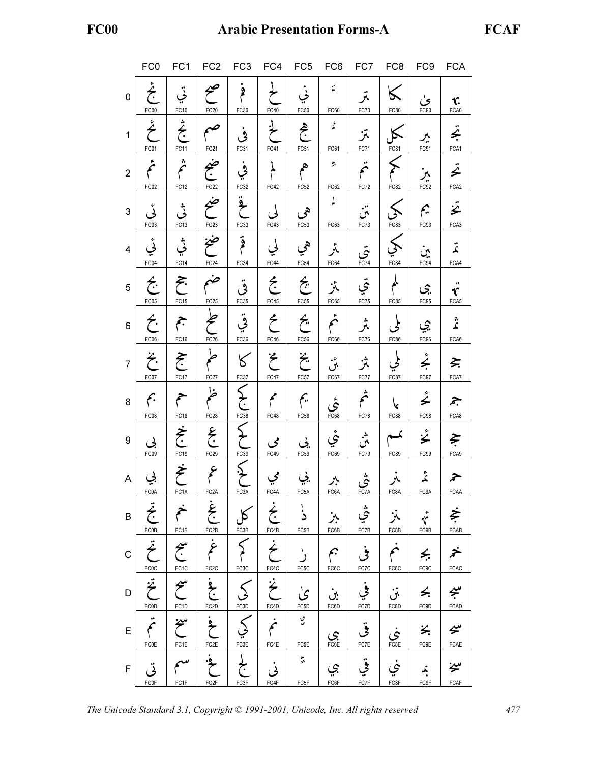|                | FC <sub>0</sub>               |                                           | FC1 FC2 FC3 FC4 FC5 FC6              |                        |                                   |                                      |                               | FC7 FC8                       |                       |                                   | FC9 FCA                      |
|----------------|-------------------------------|-------------------------------------------|--------------------------------------|------------------------|-----------------------------------|--------------------------------------|-------------------------------|-------------------------------|-----------------------|-----------------------------------|------------------------------|
| $\mathbf{0}$   | يځ<br>ج<br>FC00               | تى<br>FC10                                | صح<br>FC20                           | فم<br>م<br>FC30        | FC40                              | ىي<br>FC50                           | نهَ<br>FC60                   | تمر<br><b>FC70</b>            | $\ltimes$<br>FC80     | ئ<br>FC90                         | 饣<br>FCA0                    |
| $\mathbf{1}$   | ځ<br>FC01                     | شخ<br>جخ<br>FC11                          | FC21                                 | ڨ<br>FC31              | FC41                              | هج<br>FC51                           | $\mathcal{Z}$<br>FC61         | تنز<br>FC71                   | FC81                  | ベ<br>FC91                         | تج<br>FCA1                   |
| $\overline{2}$ | ء<br>تحم<br>FC02              | ÷,<br>b<br>FC <sub>12</sub>               | ضج<br>FC22                           | ڣۣ<br>FC32             | FC42                              | P<br>FC52                            | بو<br>FC62                    | $\bullet\bullet$<br>∕<br>FC72 | FC82                  | ېز<br>FC92                        | تح<br>FCA <sub>2</sub>       |
| 3              | ݩ<br>FC03                     | ݩ<br>FC <sub>13</sub>                     | ضح<br>FC <sub>23</sub>               | $\ddot{\zeta}$<br>FC33 | لى<br>FC43                        | هي<br>FC53                           | بد<br>FC63                    | تن<br>FC73                    | FC83                  | چم<br>FC93                        | ÿ<br>FCA3                    |
| $\overline{4}$ | ئی<br>FC04                    | ݩ<br>FC14                                 | ضخ<br>FC <sub>24</sub>               | ۊۭ<br>FC34             | لى<br>FC44                        | هي<br>FC54                           | ېر<br>نگر<br>FC64             | بنې<br><sub>FC74</sub>        | FC84                  | ېن<br>:ب<br>FC94                  | تم<br>FCA4                   |
| 5              | $\hat{\mathfrak{C}}$<br>FC05  | $\tilde{\mathcal{F}}$<br>FC <sub>15</sub> | ضم<br>FC <sub>25</sub>               | قى<br>FC35             | خ<br>FC45                         | $\hat{\mathfrak{E}}$<br>FC55         | بمز<br>FC65                   | تي<br>FC75                    | <b>FC85</b>           | چي<br>FC95                        | r<br>FCA5                    |
| 6              | $\hat{\tau}$ .<br>FC06        | جم<br>FC16                                | FC26                                 | قي<br>FC36             | $\zeta$<br>FC46                   | $\hat{\tau}$<br>FC56                 | ثم<br>FC66                    | ثمر<br>FC76                   | ょ<br>FC86             | ۑپ<br>FC96                        | ۂ<br>نگر<br>FCA6             |
| $\overline{7}$ | $\tilde{\mathcal{L}}$<br>FC07 | $\tilde{\mathcal{F}}$<br>FC17             | <b>FC27</b>                          | К<br>FC37              | $\tilde{\zeta}$<br>FC47           | $\ddot{\tilde{\mathcal{E}}}$<br>FC57 | ېنې<br>FC67                   | ئمز<br>FC77                   | <b>FC87</b>           | ئج<br>FC97                        | ξ.<br>FCA7                   |
| 8              | بم<br>FC08                    | FC18                                      | ظ<br>FC <sub>28</sub>                | FC38                   | $\blacktriangle$<br>FC48          | ۴<br><b>FC58</b>                     | $\mathring{\mathcal{S}}$ FC68 | ثم<br>FC78                    | FC88                  | ء<br>∠<br>FC98                    | جم<br>FCA8                   |
| 9              | بي<br>FC09                    | فحج<br>FC19                               | $\sum_{i=1}^{n}$<br>FC <sub>29</sub> | FC39                   | مى<br>FC49                        | ىجى<br>FC59                          | ئبي<br>FC69                   | ښ.<br>ان<br>FC79              | FC89                  | ݞ<br>FC99                         | $\tilde{\mathbf{z}}$<br>FCA9 |
| A              | بي<br>FC0A                    | خ<br>FC <sub>1</sub> A                    | عم<br>FC <sub>2</sub> A              | FC3A                   | مي<br>FC4A                        | يي<br>FC5A                           | ᄉ<br>FC6A                     | ئى<br>FC <sub>7</sub> A       | نمر<br>FC8A           | ݣە<br>FC9A                        | ≽<br>FCAA                    |
| B              | بخ<br>FC0B                    | FC <sub>1</sub> B                         | خ<br>ج<br>FC2B                       | FC3B                   | $\dot{\hat{\epsilon}}$<br>FC4B    | ذ<br>FC5B                            | ېز<br>FC6B                    | ؿٛ<br>FC7B                    | أثر<br>FC8B           | $\mathring{\mathfrak{r}}$<br>FC9B | خ<br>FCAB                    |
| $\mathsf C$    | $\ddot{\zeta}$<br>FCOC        | سمج<br>FC1C                               | غ<br>FC2C                            | FC3C                   | $\dot{\hat{\mathcal{E}}}$<br>FC4C | رٰ<br>FC5C                           | جم<br>FC6C                    | فى<br>FC7C                    | $\mathcal{F}$<br>FC8C | Ş.<br>FC9C                        | خمر<br>FCAC                  |
| D              | $\ddot{\zeta}$<br>FCOD        | سح<br>FC1D                                | $\frac{1}{2}$<br>FC <sub>2</sub> D   | FC3D                   | $\ddot{\hat{\xi}}$<br>FC4D        | ؽۢ<br>FC5D                           | بن<br>FC6D                    | في<br>FC7D                    | ݩن<br>FC8D            | ≤.<br>FC9D                        | ڛۭ<br>FCAD                   |
| E              | $\ddot{\zeta}$<br><b>FC0E</b> | سخ<br>FC1E                                | $\frac{1}{2}$<br>FC <sub>2E</sub>    | FC3E                   | نم<br>FC4E                        | مپه<br>FC5E                          | $\sum_{\text{FCE}}$           | فی<br><sub>FC7E</sub>         | خې<br>FC8E            | 幺<br>FC9E                         | グ<br>FCAE                    |
| $\mathsf F$    | تى<br><b>FC0F</b>             | FC1F                                      | $\frac{1}{2}$<br>FC <sub>2F</sub>    | لج<br>FC3F             | نی<br>FC4F                        | $\stackrel{u}{\geqslant}$<br>FC5F    | بي<br>FC6F                    | في<br><sub>FC7F</sub>         | ني<br>FC8F            | <u>م</u><br>FC9F                  | سخة<br>FCAF                  |

The Unicode Standard 3.1, Copyright © 1991-2001, Unicode, Inc. All rights reserved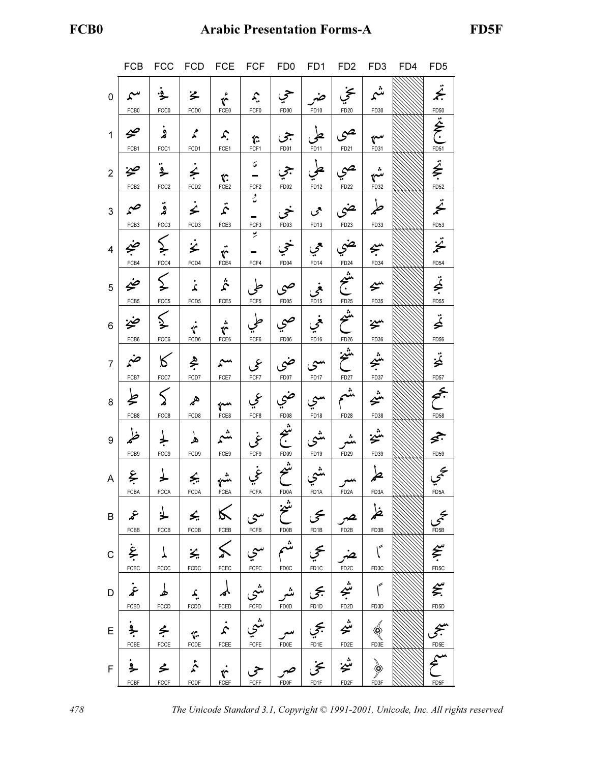# FCB0 Arabic Presentation Forms-A FD5F

|                | <b>FCB</b>                     |                                | FCC FCD FCE FCF                  |                                                                           |                                      | FD <sub>0</sub>   | FD <sub>1</sub>                                | FD <sub>2</sub>                          | FD <sub>3</sub>           | FD4 | FD <sub>5</sub>          |
|----------------|--------------------------------|--------------------------------|----------------------------------|---------------------------------------------------------------------------|--------------------------------------|-------------------|------------------------------------------------|------------------------------------------|---------------------------|-----|--------------------------|
| 0              | سم<br>FCB0                     | ٷ<br>FCC0                      | ゙゚゙゚゚<br>FCD <sub>0</sub>        | $\mathring{\mathfrak{c}}$<br>FCE0                                         | $\mathcal{L}_{\cdot}$<br>FCF0        | حى<br>FD00        | ضہ<br>FD10                                     | خجي<br>FD20                              | شم<br>FD30                |     | F.                       |
| $\mathbf{1}$   | $\boldsymbol{\varphi}$<br>FCB1 | ۏ<br>FCC1                      | $\boldsymbol{\zeta}$<br>FCD1     | $\mathcal{L}% _{0}^{\ast }=\mathcal{L}_{\mathcal{L}_{0}}^{\ast }$<br>FCE1 | $\hat{C}$<br>FCF1                    | جي<br>FD01        | طی<br>FD11                                     | حبى<br>FD21                              | سه<br>FD31                |     | FD50<br><br>FD51         |
| $\overline{2}$ | ڝخ<br>FCB <sub>2</sub>         | ۼ<br>FCC <sub>2</sub>          | $\leq$<br>FCD <sub>2</sub>       | t.<br>FCE <sub>2</sub>                                                    | $\acute{\omega}$<br>FCF <sub>2</sub> | جي<br>FD02        | على<br>FD12                                    | صي<br>FD22                               | شه<br>FD32                |     | خِ<br>FD52               |
| 3              | صم<br>FCB3                     | ۊ<br>FCC3                      | $\dot{\hat{z}}$<br>FCD3          | $\ddot{\hat{z}}$<br>FCE3                                                  | و<br>مە<br>FCF3                      | خى<br>FD03        | حمى<br>FD13                                    | ضى<br>FD23                               | طمر<br>FD33               |     | $\ddot{\hat{z}}$<br>FD53 |
| 4              | ۻج<br>FCB4                     | $\sum_{i=1}^{n}$<br>FCC4       | 之<br>FCD4                        | $\ddot{\mathbf{r}}$<br>FCE4                                               | بو<br>FCF4                           | خي<br>FD04        | حمي<br>FD <sub>14</sub>                        | ضي<br>FD24                               | بىيە<br>.<br>FD34         |     | ;<br>*<br><b>FD54</b>    |
| 5              | ضح<br>FCB5                     | $\sum$<br>FCC5                 | $\mathbf{r}$<br>FCD5             | $\ddot{\hat{\mathcal{L}}}$<br>FCE5                                        | FCF5                                 | صى<br>FD05        | مني<br>FD15                                    | $\overbrace{\frac{1}{1025}}^{\text{th}}$ | $\Leftrightarrow$<br>FD35 |     | تج<br>FD55               |
| 6              | ضخ<br>FCB6                     | $\lessgtr$<br>FCC6             | $\mathcal{C}$<br>FCD6            | $\dot{\hat{\mathbf{r}}}$<br>$FCE6$                                        | طی<br>FCF6                           | صى<br>FD06        | فحي<br>FD16                                    | شح<br>FD26                               | سمز<br>FD36               |     | تح<br>FD56               |
| $\overline{7}$ | ضمر<br>FCB7                    | $\kappa$<br>FCC7               | ڲٜ<br>FCD7                       | سم<br>$FCE7$                                                              | عی<br>FCF7                           | ضي<br>FD07        | سى $\mathcal{C}^{\mu}$<br>FD17                 | شخ<br>FD27                               | شم<br>منجع<br>FD37        |     | تخ<br>FD57               |
| 8              | と<br>FCB8                      | $\lesssim$<br>FCC8             | <b>R</b><br>FCD8                 | $\sim$<br>$FCE8$                                                          | عي<br>FCF8                           | ضي<br>FD08        | سي<br><b>FD18</b>                              | یشم<br>FD <sub>28</sub>                  | ݽخ<br>FD38                |     | تجمج<br>FD58             |
| 9              | ظهر<br>FCB9                    | FCC9                           | ۿ<br>FCD9                        | شىم<br>FCE9                                                               | غي<br>FCF9                           | شع<br>خ<br>FDO9   | شى<br>FD19                                     | یڈ<br>FD <sub>29</sub>                   | ݽݗ<br>FD39                |     | جج<br>FD59               |
| A              | عج<br><b>FCBA</b>              | <b>FCCA</b>                    | ÷.<br><b>FCDA</b>                | شم<br>FCEA                                                                | غي<br>FCFA                           | شح<br>FDOA        | شي<br><sup>FD1A</sup>                          | مب <b>ر</b><br>FD2A                      | FD <sub>3</sub> A         |     | $\xi$                    |
| B              | $\mathcal{S}$<br>FCBB          | 尘<br>FCCB                      | $\leq$<br>FCDB                   | FCEB                                                                      | $\vert\mathcal{S}\vert$ سی<br>FCFB   | شخ<br><b>FD0B</b> | گ<br>FD1B                                      | FD <sub>2</sub> B                        | ظم<br>FD3B                |     | $\sum_{\text{FDB}}$      |
| C              | ۼ<br>FCBC                      | $\overline{1}$<br>${\tt FCCC}$ | 头<br>${\tt FCDC}$                | $\leq$<br>FCEC                                                            | سي<br>FCFC                           | شم<br><b>FD0C</b> | عجي<br>FD <sub>1</sub> C                       | FD <sub>2</sub> C                        | ٢<br>FD3C                 |     | $\sum_{FDSC}$            |
| D              | غړ<br>FCBD                     | لم<br>FCCD                     | $\hat{A}$<br>FCDD                | FCED                                                                      | ىثىي<br>FCFD                         | شر<br><b>FD0D</b> | $\frac{2}{\frac{2}{\frac{3}{2}}}{\frac{1}{2}}$ | شیم<br>FD2D                              | ٢<br>FD <sub>3D</sub>     |     | €.<br>FD <sub>5</sub> D  |
| E.             | فج<br>FCBE                     | $\leq$<br>FCCE                 | $\mathcal{C}$<br>FCDE            | $\dot{\bm{\mathcal{L}}}$<br>FCEE                                          | FCFE                                 | FD0E              | کجي<br>FD1E                                    | $\boldsymbol{\hat{\xi}}$ شى              | FD3E                      |     | $F$ <sub>D5E</sub>       |
| F              | ݟ<br>FCBF                      | مح<br>FCCF                     | $\mathring{\mathcal{L}}$<br>FCDF | ŕ<br>FCEF                                                                 | حى<br>FCFF                           | FD0F              | ىخى<br>FD1F                                    | شخ<br>FD <sub>2F</sub>                   | FD3F                      |     | FD <sub>5F</sub>         |

478 The Unicode Standard 3.1, Copyright © 1991-2001, Unicode, Inc. All rights reserved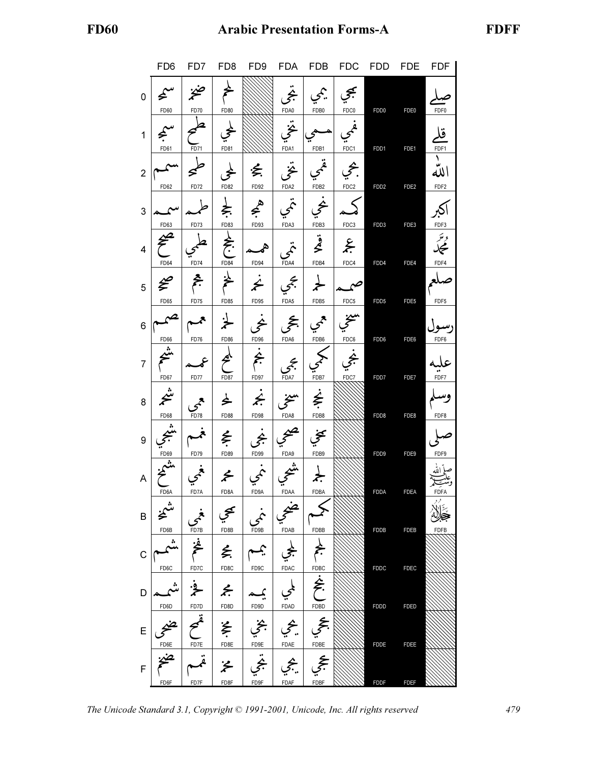|                | FD <sub>6</sub>                  | FD7 FD8                                                                                                                                                                                                                                                                                                                                     |                  | FD <sub>9</sub>                           |                                                                                                          |                    | FDA FDB FDC FDD FDE          |                  |                  | <b>FDF</b>                       |
|----------------|----------------------------------|---------------------------------------------------------------------------------------------------------------------------------------------------------------------------------------------------------------------------------------------------------------------------------------------------------------------------------------------|------------------|-------------------------------------------|----------------------------------------------------------------------------------------------------------|--------------------|------------------------------|------------------|------------------|----------------------------------|
| 0              | $\hat{\bm{\varepsilon}}$<br>FD60 | FD70                                                                                                                                                                                                                                                                                                                                        | FD80             |                                           | FDA0                                                                                                     | يمحمي<br>FDB0      | FDC0                         | FDD <sub>0</sub> | FDE <sub>0</sub> | FDF0                             |
| $\mathbf{1}$   | FD61                             | FD71                                                                                                                                                                                                                                                                                                                                        | FD81             |                                           | FDA1                                                                                                     | FDB1               | FDC1                         | FDD1             | FDE1             | قا<br>FDF1                       |
| $\overline{2}$ | FD62                             | FD72                                                                                                                                                                                                                                                                                                                                        | FD82             | 乏<br>FD92                                 | FDA2                                                                                                     | FDB <sub>2</sub>   | FDC2                         | FDD <sub>2</sub> | FDE2             | الله<br>FDF <sub>2</sub>         |
| 3              | FD63                             | FD73                                                                                                                                                                                                                                                                                                                                        | FD83             | $\Leftrightarrow$<br>FD93                 | FDA3                                                                                                     | FDB3               | FDC3                         | FDD3             | FDE3             | FDF3                             |
| 4              | FD64                             | <b>FD74</b>                                                                                                                                                                                                                                                                                                                                 | FD84             | FD94                                      | FDA4                                                                                                     | قعطا<br>FDB4       | $\tilde{\mathbf{z}}$<br>FDC4 | FDD4             | FDE4             | <sup>وسَ</sup> رِ<br>محک<br>FDF4 |
| 5              | €<br>FD65                        | FD75                                                                                                                                                                                                                                                                                                                                        | FD85             | $\overline{\mathbf{z}}$<br>FD95           | FDA5                                                                                                     | FDB5               | FDC5                         | FDD <sub>5</sub> | FDE <sub>5</sub> | FDF <sub>5</sub>                 |
| 6              | $\sim$<br>FD66                   | FD76                                                                                                                                                                                                                                                                                                                                        | <b>FD86</b>      | FD96                                      | FDA6                                                                                                     | FDB6               | FDC6                         | FDD6             | FDE6             | FDF6                             |
| 7              | FD67                             | FD77                                                                                                                                                                                                                                                                                                                                        | <b>FD87</b>      | FD97                                      | FDA7                                                                                                     | FDB7               | FDC7                         | FDD7             | FDE7             | FDF7                             |
| 8              | ⊭<br>FD68                        | FD78                                                                                                                                                                                                                                                                                                                                        | と<br><b>FD88</b> | $\neq$<br>FD98                            | FDA8                                                                                                     | FDB8               |                              | FDD8             | FDE8             | FDF8                             |
| 9              |                                  |                                                                                                                                                                                                                                                                                                                                             | を                |                                           |                                                                                                          |                    |                              |                  |                  |                                  |
| Α              | FD69                             | FD79                                                                                                                                                                                                                                                                                                                                        | FD89<br>⊁        | FD99                                      | FDA9                                                                                                     | FDB9               |                              | FDD9             | FDE9             | FDF9                             |
| $\sf B$        | FD6A<br>شىخ                      | FD7A                                                                                                                                                                                                                                                                                                                                        | FD8A             | FD9A<br>$\mathcal{L}$                     | FDAA                                                                                                     | FDBA               |                              | <b>FDDA</b>      | <b>FDEA</b>      | <b>FDFA</b>                      |
| $\mathsf C$    | FD6B<br>اشم<br>پ                 | $\begin{picture}(120,115) \put(0,0){\line(1,0){155}} \put(15,0){\line(1,0){155}} \put(15,0){\line(1,0){155}} \put(15,0){\line(1,0){155}} \put(15,0){\line(1,0){155}} \put(15,0){\line(1,0){155}} \put(15,0){\line(1,0){155}} \put(15,0){\line(1,0){155}} \put(15,0){\line(1,0){155}} \put(15,0){\line(1,0){155}} \put(15,0){\line(1,0){155$ |                  | لحجي   يمــم                              | FDAB                                                                                                     | FDBB               |                              | <b>FDDB</b>      | <b>FDEB</b>      | <b>FDFB</b>                      |
| D              | FD6C                             | FD7C FD8C<br>$\frac{1}{2}$                                                                                                                                                                                                                                                                                                                  | $\leq$           | FD9C<br>$\sum_{i=1}^{n}$                  | FDAC<br>$\begin{matrix} 1 \ \frac{1}{\sqrt{2}} \\ \frac{1}{\sqrt{2}} \\ \frac{1}{\sqrt{2}} \end{matrix}$ | $\frac{1}{1}$      |                              | <b>FDDC</b>      | <b>FDEC</b>      |                                  |
| E              | FD6D<br>مخيجي                    | $\epsilon$                                                                                                                                                                                                                                                                                                                                  | FD7D FD8D        | FD9D<br> مچي   بخي   مخچ                  |                                                                                                          | FDBD<br>۔<br>انجمي |                              | <b>FDDD</b>      | <b>FDED</b>      |                                  |
| $\mathsf F$    | FD6E                             | $\ddot{\mathcal{L}}$                                                                                                                                                                                                                                                                                                                        | FD8E<br>氵        | $\overbrace{\mathbf{FDE}}^{\mathsf{FDE}}$ | FDAE<br>اچي                                                                                              | FDBE<br>عجي        |                              | <b>FDDE</b>      | <b>FDEE</b>      |                                  |
|                | FD6F                             | FD7F                                                                                                                                                                                                                                                                                                                                        | FD8F             | FD9F                                      | FDAF                                                                                                     | FDBF               |                              | <b>FDDF</b>      | <b>FDEF</b>      |                                  |

The Unicode Standard 3.1, Copyright © 1991-2001, Unicode, Inc. All rights reserved 479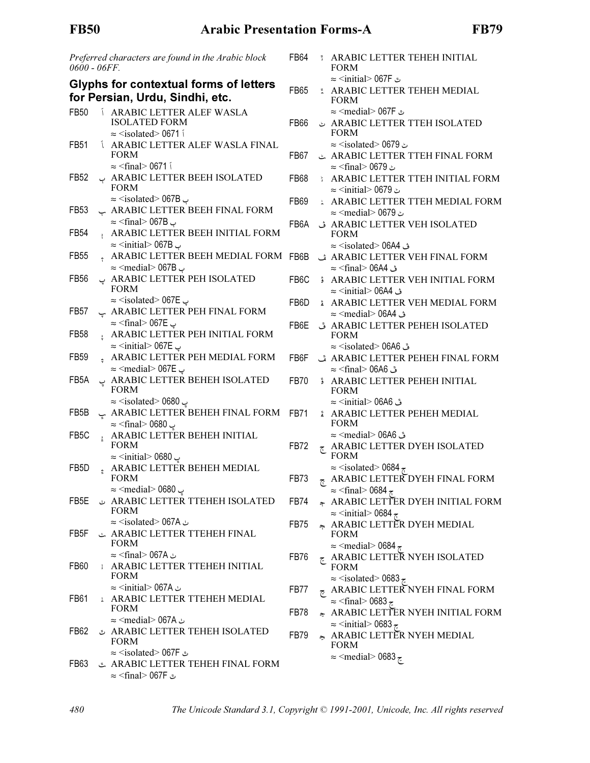| 0600 - 06FF       |               | Preferred characters are found in the Arabic block                                                                          | FB64              | <b>ARABIC LETTER TEHEH INITIAL</b><br><b>FORM</b>                                                                                                                                    |
|-------------------|---------------|-----------------------------------------------------------------------------------------------------------------------------|-------------------|--------------------------------------------------------------------------------------------------------------------------------------------------------------------------------------|
|                   |               | <b>Glyphs for contextual forms of letters</b><br>for Persian, Urdu, Sindhi, etc.                                            | <b>FB65</b>       | ت 067F <initial> 067<br/>* ARABIC LETTER TEHEH MEDIAL<br/><b>FORM</b></initial>                                                                                                      |
| FB50              |               | Í ARABIC LETTER ALEF WASLA<br><b>ISOLATED FORM</b><br>$\approx$ <isolated> 0671 i</isolated>                                | <b>FB66</b>       | ت 067F <medial> 067<br/>ARABIC LETTER TTEH ISOLATED<br/><b>FORM</b></medial>                                                                                                         |
| FB51              |               | <b><i>LARABIC LETTER ALEF WASLA FINAL</i></b><br><b>FORM</b><br>$\approx$ <final> 0671 i</final>                            | FB67              | $\approx$ <isolated> 0679<br/>ARABIC LETTER TTEH FINAL FORM</isolated>                                                                                                               |
| FB52              |               | ARABIC LETTER BEEH ISOLATED<br><b>FORM</b>                                                                                  | FB68              | ٹ 1679 <final⊙ 1679<br=""><b>ARABIC LETTER TTEH INITIAL FORM</b><br/>ٹ 1679 <initial> ב</initial></final⊙>                                                                           |
| FB53              |               | $\approx$ <isolated> 067B<br/>ARABIC LETTER BEEH FINAL FORM</isolated>                                                      | FB69              | <b>ARABIC LETTER TTEH MEDIAL FORM</b><br>ٹ 1679 <medial≫ 0679<="" td=""></medial≫>                                                                                                   |
| FB <sub>54</sub>  |               | $\approx$ <final> 067B →<br/>ARABIC LETTER BEEH INITIAL FORM<br/><math>\approx</math> <initial> 067B &lt;</initial></final> | FB <sub>6</sub> A | ARABIC LETTER VEH ISOLATED ف<br><b>FORM</b><br>ڤ 06A4 <isolated> 06A4</isolated>                                                                                                     |
| FB55              |               | ARABIC LETTER BEEH MEDIAL FORM FB6B<br>$\approx$ <medial> 067B &lt;</medial>                                                |                   | ARABIC LETTER VEH FINAL FORM ث<br>ث 06A4 <rinal> 06A4</rinal>                                                                                                                        |
| FB <sub>56</sub>  |               | ARABIC LETTER PEH ISOLATED ب<br><b>FORM</b>                                                                                 | FB <sub>6</sub> C | ARABIC LETTER VEH INITIAL FORM<br>ف 06A4 <initial> 06A4</initial>                                                                                                                    |
| FB <sub>57</sub>  |               | $\approx$ <isolated> 067E <math>\sim</math><br/>ARABIC LETTER PEH FINAL FORM پ<br/>ب 067E <rinal> 067</rinal></isolated>    | FB <sub>6</sub> D | <b>ARABIC LETTER VEH MEDIAL FORM</b><br>ڤ 06A4 <medial> 06A4</medial>                                                                                                                |
| FB58              | $\mathbf{r}$  | ARABIC LETTER PEH INITIAL FORM<br>$\approx$ <initial> 067E <math>\approx</math></initial>                                   | FB6E              | ARABIC LETTER PEHEH ISOLATED ق<br><b>FORM</b><br>ق 66A6 <isolated> 06A6</isolated>                                                                                                   |
| FB59              |               | ARABIC LETTER PEH MEDIAL FORM<br>$\approx$ <medial> 067E &lt;</medial>                                                      | FB6F              | ARABIC LETTER PEHEH FINAL FORM ق<br>ق 06A6 <final> 06A6</final>                                                                                                                      |
| FB5A              |               | ARABIC LETTER BEHEH ISOLATED ب<br><b>FORM</b><br>پ 1680 <isolated> 0680&gt; ≈</isolated>                                    | <b>FB70</b>       | <b>ARABIC LETTER PEHEH INITIAL</b><br><b>FORM</b><br>ق 06A6 <initial> 06A6</initial>                                                                                                 |
| FB <sub>5</sub> B | ݒ             | ARABIC LETTER BEHEH FINAL FORM<br>پ 0680 <final> 0680</final>                                                               | FB71              | ARABIC LETTER PEHEH MEDIAL<br><b>FORM</b>                                                                                                                                            |
| FB <sub>5</sub> C | $\frac{1}{4}$ | ARABIC LETTER BEHEH INITIAL<br><b>FORM</b><br>$\approx$ <initial> 0680</initial>                                            | FB72              | ق 06A6 <medial> 06A6<br/><b>E ARABIC LETTER DYEH ISOLATED</b><br/><b>FORM</b></medial>                                                                                               |
| FB <sub>5</sub> D |               | ARABIC LETTER BEHEH MEDIAL<br><b>FORM</b>                                                                                   | FB73              | $\approx$ <isolated> 0684<math>\approx</math><br/><b>ARABIC LETTER DYEH FINAL FORM</b></isolated>                                                                                    |
| FB5E              |               | پ 1680 <medial> 0680<br/>ARABIC LETTER TTEHEH ISOLATED<br/><b>FORM</b></medial>                                             | FB74              | $\approx$ <final> 0684<math>\approx</math><br/>ARABIC LETTER DYEH INITIAL FORM<br/><math>\approx</math> <initial> 0684 <math>\approx</math></initial></final>                        |
| FB <sub>5</sub> F |               | ٺ Sisolated> 067A⇔<br>ARABIC LETTER TTEHEH FINAL                                                                            | FB75              | ARABIC LETTER DYEH MEDIAL<br><b>FORM</b>                                                                                                                                             |
| FB60              |               | <b>FORM</b><br>ٺ 167Aڪ ≈ <final><br/><b>: ARABIC LETTER TTEHEH INITIAL</b><br/><b>FORM</b></final>                          | FB76              | $\approx$ <medial> 0684<math>\approx</math><br/><b>E ARABIC LETTER NYEH ISOLATED</b><br/><b>FORM</b></medial>                                                                        |
| FB61              |               | ٺ 167Aڪ ≈ <initial> 067<br/>: ARABIC LETTER TTEHEH MEDIAL</initial>                                                         | FB77              | $\approx$ <isolated> 0683 <math>\approx</math><br/><math>\epsilon</math> ARABIC LETTER NYEH FINAL FORM<br/><math>\approx</math> <final> 0683 <math>\approx</math></final></isolated> |
| FB62              |               | <b>FORM</b><br>ٺ ∩067A <medial> 067<br/>ARABIC LETTER TEHEH ISOLATED</medial>                                               | FB78              | ARABIC LETTER NYEH INITIAL FORM<br>$\approx$ <initial> 0683 <math>\approx</math></initial>                                                                                           |
|                   |               | <b>FORM</b><br>$\approx$ <isolated> 067F ت</isolated>                                                                       | FB79              | ARABIC LETTER NYEH MEDIAL<br><b>FORM</b><br>$\approx$ <medial> 0683 <math>\approx</math></medial>                                                                                    |
| FB <sub>63</sub>  |               | ARABIC LETTER TEHEH FINAL FORM<br>ٿ 67F /c sfinal> 067F                                                                     |                   |                                                                                                                                                                                      |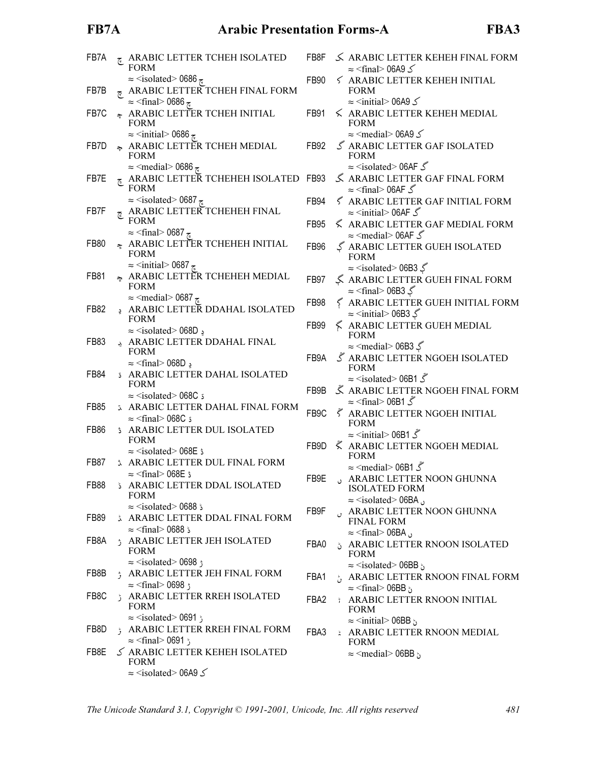# FB7A Arabic Presentation Forms-A FBA3

| FB7A        | چ         | ARABIC LETTER TCHEH ISOLATED<br><b>FORM</b>                                                                                                                                   | FB8F                    |
|-------------|-----------|-------------------------------------------------------------------------------------------------------------------------------------------------------------------------------|-------------------------|
| FB7B        | $\vec{c}$ | $\approx$ <isolated> 0686 <math>\approx</math><br/>ARABIC LETTER TCHEH FINAL FORM</isolated>                                                                                  | FB9(                    |
| FB7C        |           | $\approx$ <final> 0686 <math>\approx</math><br/>* ARABIC LETTER TCHEH INITIAL<br/><b>FORM</b></final>                                                                         | FB9 <sup>-</sup>        |
| FB7D        |           | $\approx$ <initial> 0686<math>\approx</math><br/>* ARABIC LETTER TCHEH MEDIAL<br/><b>FORM</b></initial>                                                                       | FB <sub>92</sub>        |
| FB7E        | ج         | $\approx$ <medial> 0686<math>\approx</math><br/>ARABIC LETTER TCHEHEH ISOLATED FB93<br/><b>FORM</b></medial>                                                                  |                         |
| FB7F        | 7         | $\approx$ <isolated> 0687 <math>\approx</math><br/>ARABIC LETTER TCHEHEH FINAL<br/><b>FORM</b></isolated>                                                                     | FB94<br>FB95            |
| FB80        | چ         | $\approx$ <final> 0687 <math>\approx</math><br/>ARABIC LETTER TCHEHEH INITIAL<br/><b>FORM</b></final>                                                                         | FB96                    |
| FB81        | يج        | $\approx$ <initial> 0687 <math>\approx</math><br/>ARABIC LETTER TCHEHEH MEDIAL<br/><b>FORM</b></initial>                                                                      | FB97                    |
| FB82        | ڍ         | $\approx$ <medial> 0687 <math>\approx</math><br/>ARABIC LETTER DDAHAL ISOLATED<br/><b>FORM</b></medial>                                                                       | FB98                    |
| FB83        |           | $\approx$ <isolated> 068D &gt;<br/>ARABIC LETTER DDAHAL FINAL<br/><b>FORM</b></isolated>                                                                                      | FB <sub>99</sub>        |
| FB84        |           | $\approx$ <final> 068D <math>\approx</math><br/><b>S ARABIC LETTER DAHAL ISOLATED</b><br/><b>FORM</b></final>                                                                 | FB9/                    |
| FB85        |           | $\approx$ <isolated> 068C is<br/><b>ARABIC LETTER DAHAL FINAL FORM</b></isolated>                                                                                             | FB9I<br>FB <sub>9</sub> |
| FB86        |           | $\approx$ <final> 068C i<br/>ARABIC LETTER DUL ISOLATED<br/><b>FORM</b></final>                                                                                               | FB9I                    |
| FB87        | Ĵ.        | $\approx$ <isolated> 068E s<br/>ARABIC LETTER DUL FINAL FORM<br/><math>\approx</math> <final> 068E ث</final></isolated>                                                       |                         |
| <b>FB88</b> |           | ARABIC LETTER DDAL ISOLATED<br><b>FORM</b>                                                                                                                                    | FB9I                    |
| FB89        |           | $\approx$ <isolated> 0688 <math>\frac{1}{2}</math><br/><b>ARABIC LETTER DDAL FINAL FORM</b><br/><math>\approx</math> <final> 0688 <math>\frac{1}{2}</math></final></isolated> | FB <sub>9</sub> F       |
| FB8A        |           | ; ARABIC LETTER JEH ISOLATED<br><b>FORM</b><br>$\approx$ <isolated> 0698;</isolated>                                                                                          | <b>FBA</b>              |
| FB8B        | ۯ         | ARABIC LETTER JEH FINAL FORM<br>$\approx$ <final> 0698;</final>                                                                                                               | FBA                     |
| FB8C        | ڑ         | ARABIC LETTER RREH ISOLATED<br><b>FORM</b><br>ڑ 0691 <isolated> 0691</isolated>                                                                                               | FBA:                    |
| FB8D        | با<br>و   | ARABIC LETTER RREH FINAL FORM<br>$\approx$ <final> 0691 <math>\frac{1}{2}</math></final>                                                                                      | FBA:                    |
| FB8E        |           | S ARABIC LETTER KEHEH ISOLATED<br><b>FORM</b><br>$\approx$ <isolated> 06A9 <math>\leq</math></isolated>                                                                       |                         |
|             |           |                                                                                                                                                                               |                         |

|   | FB8F              |   | S ARABIC LETTER KEHEH FINAL FORM<br>$\approx$ <final> 06A9 <math>\le</math></final>                                                                                            |
|---|-------------------|---|--------------------------------------------------------------------------------------------------------------------------------------------------------------------------------|
|   | FB90              |   | <b>S ARABIC LETTER KEHEH INITIAL</b><br><b>FORM</b>                                                                                                                            |
|   | FB91              |   | $\approx$ <initial> 06A9 <math>\leq</math><br/><math>\leq</math> ARABIC LETTER KEHEH MEDIAL<br/>FORM</initial>                                                                 |
|   | FB92              |   | $\approx$ <medial> 06A9 <math>\leq</math><br/>S ARABIC LETTER GAF ISOLATED<br/><b>FORM</b></medial>                                                                            |
| ١ | FB93              |   | $\approx$ <isolated> 06AF <math>\&amp;</math><br/>ARABIC LETTER GAF FINAL FORM</isolated>                                                                                      |
|   | FB94              |   | $\approx$ <final> 06AF <math>\mathcal</math><br/>≤ ARABIC LETTER GAF INITIAL FORM</final>                                                                                      |
|   | <b>FB95</b>       |   | $\approx$ <initial> 06AF <math>\mathcal</math><br/><b>&lt; ARABIC LETTER GAF MEDIAL FORM</b></initial>                                                                         |
|   | <b>FB96</b>       |   | $\approx$ <medial> 06AF <math>\&amp;</math><br/>ARABIC LETTER GUEH ISOLATED<br/><b>FORM</b></medial>                                                                           |
|   | <b>FB97</b>       |   | $\approx$ <isolated> 06B3 <math>\lessgtr</math><br/>ARABIC LETTER GUEH FINAL FORM</isolated>                                                                                   |
|   | <b>FB98</b>       |   | گ final> 06B3> ≈<br>ARABIC LETTER GUEH INITIAL FORM                                                                                                                            |
|   | FB99              |   | $\approx$ <initial> 06B3 <math>\Im</math><br/>ARABIC LETTER GUEH MEDIAL<br/><b>FORM</b></initial>                                                                              |
|   | FB9A              |   | $\approx$ <medial> 06B3 <math>\sqrt</math><br/><math display="inline">\tilde{\mathcal{S}}</math> ARABIC LETTER NGOEH ISOLATED<br/><b>FORM</b></medial>                         |
|   | FB <sub>9</sub> B |   | $\approx$ <isolated> 06B1 <math>\mathcal{\tilde{S}}</math><br/>Å ARABIC LETTER NGOEH FINAL FORM</isolated>                                                                     |
|   |                   |   | $\approx$ <final> 06B1 <math>\mathcal{\tilde{S}}</math></final>                                                                                                                |
|   | FB <sub>9</sub> C |   | ∛ ARABIC LETTER NGOEH INITIAL<br><b>FORM</b>                                                                                                                                   |
|   | FB9D              |   | گ 06B1  1⊺<br>₹ ARABIC LETTER NGOEH MEDIAL<br><b>FORM</b>                                                                                                                      |
|   |                   |   | $\approx$ <medial> 06B1 <math>\&amp;</math></medial>                                                                                                                           |
|   | FB9E              | ں | <b>ARABIC LETTER NOON GHUNNA</b><br><b>ISOLATED FORM</b>                                                                                                                       |
|   | FB9F              | Ù | $\approx$ <isolated> 06BA <math>_{\odot}</math><br/>ARABIC LETTER NOON GHUNNA<br/><b>FINAL FORM</b></isolated>                                                                 |
|   | FBA0              |   | $\approx$ <final> 06BA <math>\circ</math><br/><b>¿ ARABIC LETTER RNOON ISOLATED</b><br/><b>FORM</b></final>                                                                    |
|   | FBA1              |   | $\approx$ <isolated> 06BB <math>\circ</math><br/>ARABIC LETTER RNOON FINAL FORM<br/><math>\approx</math> <final> 06BB <math>\cdot</math></final></isolated>                    |
|   | FBA2              |   | <b>ARABIC LETTER RNOON INITIAL</b><br><b>FORM</b>                                                                                                                              |
|   | FBA3              |   | $\approx$ <initial> 06BB <math>\circ</math><br/><b>ARABIC LETTER RNOON MEDIAL</b><br/><b>FORM</b><br/><math>\approx</math> <medial> 06BB <math>\circ</math></medial></initial> |
|   |                   |   |                                                                                                                                                                                |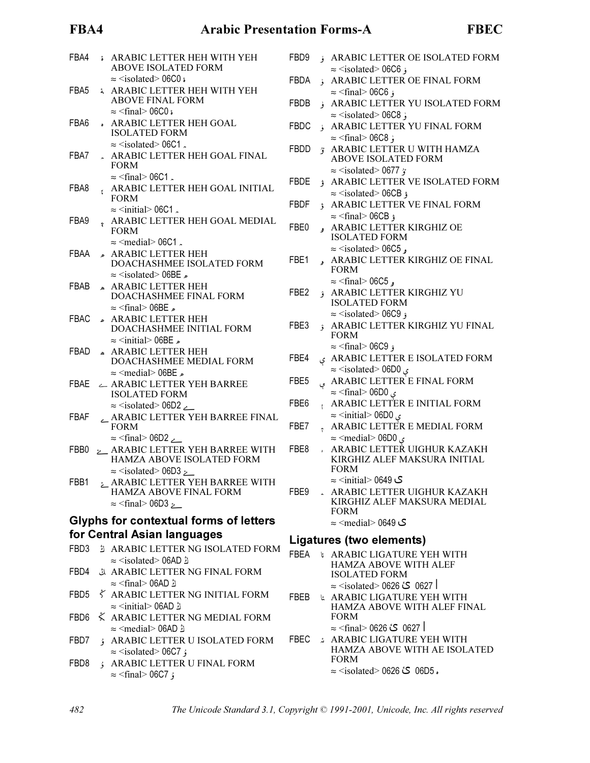## FBA4 Arabic Presentation Forms-A

| ٠   |  |
|-----|--|
| . . |  |

| FBA4 | å.           | ARABIC LETTER HEH WITH YEH<br><b>ABOVE ISOLATED FORM</b>                                                                                                                               | FBD <sub>9</sub>         |
|------|--------------|----------------------------------------------------------------------------------------------------------------------------------------------------------------------------------------|--------------------------|
|      |              | $\approx$ <isolated> 06C0 <math>\epsilon</math></isolated>                                                                                                                             | FBDA                     |
| FBA5 | å            | ARABIC LETTER HEH WITH YEH<br><b>ABOVE FINAL FORM</b>                                                                                                                                  | FBDE                     |
| FBA6 |              | $\approx$ <final> 06C0 s<br/>. ARABIC LETTER HEH GOAL<br/><b>ISOLATED FORM</b></final>                                                                                                 | FBDC                     |
| FBA7 |              | $\approx$ <isolated> 06C1.<br/>ARABIC LETTER HEH GOAL FINAL<br/><b>FORM</b></isolated>                                                                                                 | <b>FBDD</b>              |
| FBA8 | t            | $\approx$ <final> 06C1.<br/>ARABIC LETTER HEH GOAL INITIAL</final>                                                                                                                     | FBDE                     |
|      |              | <b>FORM</b><br>$\approx$ <initial> 06C1.</initial>                                                                                                                                     | <b>FBDF</b>              |
| FBA9 |              | ARABIC LETTER HEH GOAL MEDIAL<br><b>FORM</b>                                                                                                                                           | FBE0                     |
| FBAA |              | $\approx$ <medial> 06C1.<br/>ARABIC LETTER HEH<br/>DOACHASHMEE ISOLATED FORM<br/><math>\approx</math> <isolated> 06BE <math>\approx</math></isolated></medial>                         | FBE1                     |
| FBAB |              | ARABIC LETTER HEH<br>DOACHASHMEE FINAL FORM<br>$\approx$ <final> 06BE <math>\approx</math></final>                                                                                     | FBE <sub>2</sub>         |
| FBAC |              | ARABIC LETTER HEH<br>DOACHASHMEE INITIAL FORM                                                                                                                                          | FBE3                     |
| FBAD | $\mathbf{r}$ | $\approx$ <initial> 06BE <math>\approx</math><br/><b>ARABIC LETTER HEH</b><br/>DOACHASHMEE MEDIAL FORM</initial>                                                                       | FBE4                     |
| FBAE |              | $\approx$ <medial> 06BE <math>\approx</math><br/>ARABIC LETTER YEH BARREE<br/><b>ISOLATED FORM</b></medial>                                                                            | FBE <sub>5</sub>         |
| FBAF |              | $\approx$ <isolated> 06D2<br/>ARABIC LETTER YEH BARREE FINAL<br/><b>FORM</b></isolated>                                                                                                | FBE <sub>6</sub><br>FBE7 |
| FBB0 | $\sim$       | $\approx$ <final> 06D2 <math>\angle</math><br/>ARABIC LETTER YEH BARREE WITH<br/>HAMZA ABOVE ISOLATED FORM</final>                                                                     | FBE8                     |
| FBB1 |              | $\approx$ <isolated> 06D3 <math>\approx</math><br/>ARABIC LETTER YEH BARREE WITH<br/>HAMZA ABOVE FINAL FORM<br/><math>\approx</math> <final> 06D3 <math>\sim</math></final></isolated> | FBE9                     |
|      |              | <b>Glyphs for contextual forms of letters</b>                                                                                                                                          |                          |
|      |              | for Central Asian languages                                                                                                                                                            |                          |
| FBD3 |              | <b>ARABIC LETTER NG ISOLATED FORM</b><br>ڭ isolated> 06AD> ≈                                                                                                                           | Liga<br><b>FBEA</b>      |
| FBD4 |              | ARABIC LETTER NG FINAL FORM<br>ڭ final> 06AD> ⊃                                                                                                                                        |                          |
| FBD5 |              | ∛ ARABIC LETTER NG INITIAL FORM<br>ڭ o6AD> 06AD ≈                                                                                                                                      | <b>FBEB</b>              |
| FBD6 |              | $\zeta$ ARABIC LETTER NG MEDIAL FORM                                                                                                                                                   |                          |
| FBD7 |              | ك 16AD <medial> 06AD<br/>ARABIC LETTER U ISOLATED FORM</medial>                                                                                                                        | <b>FBEC</b>              |
| FBD8 | ۇ            | $\approx$ <isolated> 06C7 ;<br/>ARABIC LETTER U FINAL FORM<br/><math>\approx</math> <final> 06C7 <math>\frac{1}{2}</math></final></isolated>                                           |                          |

| FBD <sub>9</sub> |               | ARABIC LETTER OE ISOLATED FORM                                                                                 |
|------------------|---------------|----------------------------------------------------------------------------------------------------------------|
| <b>FBDA</b>      | $\frac{v}{9}$ | $\approx$ <isolated> 06C6 <math>\frac{1}{2}</math><br/>ARABIC LETTER OE FINAL FORM</isolated>                  |
|                  |               | $\approx$ <final> 06C6 <math>\frac{1}{2}</math></final>                                                        |
| <b>FBDB</b>      | ۈ             | ARABIC LETTER YU ISOLATED FORM                                                                                 |
|                  |               | $\approx$ <isolated> 06C8 ;</isolated>                                                                         |
| <b>FBDC</b>      | $\frac{1}{2}$ | ARABIC LETTER YU FINAL FORM                                                                                    |
|                  |               | $\approx$ <final> 06C8;</final>                                                                                |
| <b>FBDD</b>      |               | 3 ARABIC LETTER U WITH HAMZA<br><b>ABOVE ISOLATED FORM</b>                                                     |
|                  |               | $\approx$ <isolated> 0677 <math>\gamma</math></isolated>                                                       |
| <b>FBDE</b>      |               | ARABIC LETTER VE ISOLATED FORM                                                                                 |
| <b>FBDF</b>      |               | $\approx$ <isolated> 06CB ;<br/><b>ARABIC LETTER VE FINAL FORM</b></isolated>                                  |
|                  |               | $\approx$ <final> 06CB ;</final>                                                                               |
| FBE0             |               | ARABIC LETTER KIRGHIZ OE<br><b>ISOLATED FORM</b>                                                               |
|                  |               | $\approx$ <isolated> 06C5,</isolated>                                                                          |
| FBE1             |               | ARABIC LETTER KIRGHIZ OE FINAL<br><b>FORM</b>                                                                  |
|                  |               | $\approx$ <final> 06C5.</final>                                                                                |
| FBE <sub>2</sub> |               | ARABIC LETTER KIRGHIZ YU<br><b>ISOLATED FORM</b><br>$\approx$ <isolated> 06C9 <math>\epsilon</math></isolated> |
| FBE3             | $\hat{ }$     | ARABIC LETTER KIRGHIZ YU FINAL                                                                                 |
|                  |               | <b>FORM</b>                                                                                                    |
| FBE4             |               | ۇ 1609 <final⊙ 16<br="">ARABIC LETTER E ISOLATED FORM ي</final⊙>                                               |
|                  |               | $\approx$ <isolated> 06D0 <math>\leq</math></isolated>                                                         |
| FBE <sub>5</sub> |               | ARABIC LETTER E FINAL FORM                                                                                     |
|                  | ې             | $\approx$ <final> 06D0 ي</final>                                                                               |
| FBE <sub>6</sub> | ł             | ARABIC LETTER E INITIAL FORM                                                                                   |
|                  |               | $\approx$ <initial> 06D0 ى</initial>                                                                           |
| FBE7             | ÷             | ARABIC LETTER E MEDIAL FORM                                                                                    |
|                  |               | $\approx$ <medial> 06D0 <math>\leq</math></medial>                                                             |
| FBE8             |               | ARABIC LETTER UIGHUR KAZAKH                                                                                    |
|                  |               | KIRGHIZ ALEF MAKSURA INITIAL                                                                                   |
|                  |               | <b>FORM</b>                                                                                                    |
|                  |               | ی 0649 <initial⇒ td="" ∞<=""></initial⇒>                                                                       |
| FBE9             |               | . ARABIC LETTER UIGHUR KAZAKH<br>KIRGHIZ ALEF MAKSURA MEDIAL                                                   |
|                  |               | <b>FORM</b>                                                                                                    |
|                  |               | ک 0649 <medial⇒ 0649="" td="" ≈<=""></medial⇒>                                                                 |
|                  |               | <b>Ligatures (two elements)</b>                                                                                |
| <b>FBEA</b>      |               | <b>&amp; ARABIC LIGATURE YEH WITH</b>                                                                          |
|                  |               | HAMZA ABOVE WITH ALEF                                                                                          |
|                  |               | <b>ISOLATED FORM</b>                                                                                           |
|                  |               | ا 0627 °ڪ 0626 <isolated td="" ⊲s<=""></isolated>                                                              |
| <b>FBEB</b>      |               | LARABIC LIGATURE YEH WITH                                                                                      |
|                  |               | HAMZA ABOVE WITH ALEF FINAL<br><b>FORM</b>                                                                     |

| 0627 ℃ 0626 ⊰final ⊲1626 ≈

FBEC ARABIC LIGATURE YEH WITH HAMZA ABOVE WITH AE ISOLATED FORM  $\approx$  <isolated> 0626  $\text{C}$  06D5.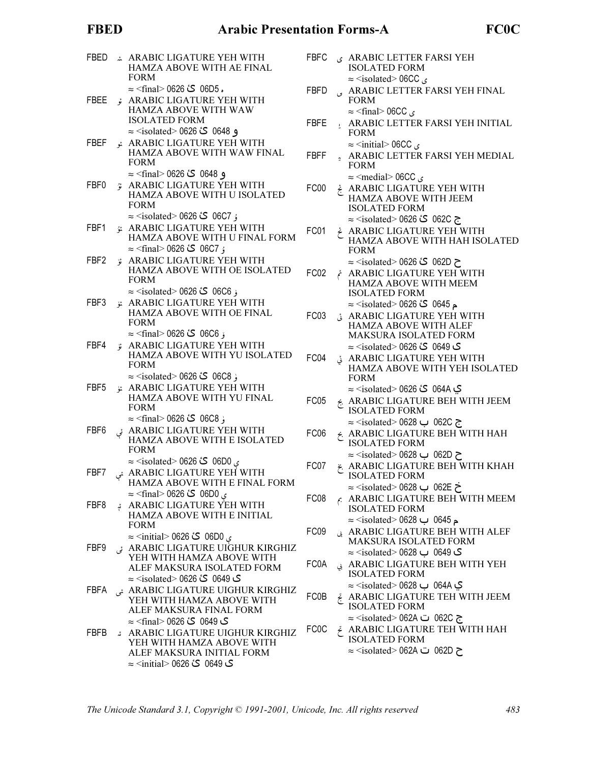#### **FBED**

| FBED |      | ARABIC LIGATURE YEH WITH<br>HAMZA ABOVE WITH AE FINAL<br><b>FORM</b>                                                                                                  | <b>FBFC</b>       |
|------|------|-----------------------------------------------------------------------------------------------------------------------------------------------------------------------|-------------------|
| FBEE |      | ۰ 06D5 كٔ 0626 <final> 0626 ≈<br/>ARABIC LIGATURE YEH WITH<br/>HAMZA ABOVE WITH WAW</final>                                                                           | <b>FBFD</b>       |
| FBEF |      | <b>ISOLATED FORM</b><br>و 0648 گ' 0626 > ⊘solated)<br>ARABIC LIGATURE YEH WITH                                                                                        | FBFE              |
|      |      | HAMZA ABOVE WITH WAW FINAL<br><b>FORM</b>                                                                                                                             | FBFF              |
| FBF0 |      | و 0648  كٔ 0626 <final⊘ 1<br="">ARABIC LIGATURE YEH WITH<br/>HAMZA ABOVE WITH U ISOLATED<br/><b>FORM</b></final⊘>                                                     | FC00              |
| FBF1 |      | ۇ 06C7 \$ئ 0626 > solated> 0626 ≍<br>ARABIC LIGATURE YEH WITH<br>HAMZA ABOVE WITH U FINAL FORM<br>ۇ 06C7 گ 0626 <rinal> 0626 ≈</rinal>                                | FC01              |
| FBF2 |      | ARABIC LIGATURE YEH WITH<br>HAMZA ABOVE WITH OE ISOLATED<br><b>FORM</b>                                                                                               | FC <sub>02</sub>  |
| FBF3 |      | ز 06C6 گٔ 0626 > 626× ≈ <isolated<br>ARABIC LIGATURE YEH WITH<br/>HAMZA ABOVE WITH OE FINAL<br/><b>FORM</b></isolated<br>                                             | FC03              |
| FBF4 | °ة ٍ | ۆ 06C6 گ\$ 0626 <refinal> 0626<br/>ARABIC LIGATURE YEH WITH<br/>HAMZA ABOVE WITH YU ISOLATED<br/><b>FORM</b></refinal>                                                | FC04              |
| FBF5 |      | $\approx$ <isolated> 0626 گا 626 &lt;<br/>ARABIC LIGATURE YEH WITH<br/>HAMZA ABOVE WITH YU FINAL<br/><b>FORM</b></isolated>                                           | FC <sub>05</sub>  |
| FBF6 |      | رْ 06C8 كٔ 0626 <final⊙ 0626="" ≈<br="">ARABIC LIGATURE YEH WITH ئى<br/>HAMZA ABOVE WITH E ISOLATED<br/><b>FORM</b></final⊙>                                          | FC <sub>06</sub>  |
| FBF7 |      | ی 06D0 <b>ت</b> ٰ 0626 ×isolated> 0626 ≈<br>ARABIC LIGATURE YEH WITH ئى<br>HAMZA ABOVE WITH E FINAL FORM                                                              | FC07              |
| FBF8 |      | ي 06D0 گٔ 0626 <final ≈<br="">ARABIC LIGATURE YEH WITH بْ<br/>HAMZA ABOVE WITH E INITIAL<br/><b>FORM</b></final>                                                      | FC08              |
| FBF9 |      | ي 06D0 <b>گ</b> 0626 <initial ⊃<br="">ARABIC LIGATURE UIGHUR KIRGHIZ ئى<br/>YEH WITH HAMZA ABOVE WITH<br/>ALEF MAKSURA ISOLATED FORM</initial>                        | FC09<br>FC0A      |
| FBFA |      | ي 0649  کُ 626  (isolated> 0626 ≈<br>ARABIC LIGATURE UIGHUR KIRGHIZ ئى<br>YEH WITH HAMZA ABOVE WITH<br>ALEF MAKSURA FINAL FORM                                        | FC0B              |
| FBFB |      | ک 0649 ℃ 0626 ≺final> 0626<br>ARABIC LIGATURE UIGHUR KIRGHIZ<br>YEH WITH HAMZA ABOVE WITH<br>ALEF MAKSURA INITIAL FORM<br>ي 0649  کُ 0626  ( <initial> 0626</initial> | FC <sub>0</sub> C |

| BFC  | ARABIC LETTER FARSI YEH                                |
|------|--------------------------------------------------------|
|      | <b>ISOLATED FORM</b>                                   |
|      | $\approx$ <isolated> 06CC <math>\leq</math></isolated> |
| 'BFD | ARABIC LETTER FARSI YEH FINAL                          |
|      | <b>FORM</b>                                            |
|      | $\approx$ <final> 06CC <math>\epsilon</math></final>   |
| RFF  | ARARIC I ETTER EARSI VEH INITIA                        |

- BIC LETTER FARSI YEH INITIAL Ł. **FORM**  $\approx$  <initial> 06CC  $\sim$
- : ARABIC LETTER FARSI YEH MEDIAL **FORM**  $\approx$  <medial> 06CC  $\leq$
- ARABIC LIGATURE YEH WITH **HAMZA ABOVE WITH JEEM ISOLATED FORM** ج 062C کٔ 0626 ×/solated: ≈
- ARABIC LIGATURE YEH WITH HAMZA ABOVE WITH HAH ISOLATED **FORM** ح 062D کٔ 0626 × isolated> 0626
- ARABIC LIGATURE YEH WITH HAMZA ABOVE WITH MEEM **ISOLATED FORM** ⊾ 0645 گٰ 0626 > ⊙solated> 0626 ≍
- ARABIC LIGATURE YEH WITH **HAMZA ABOVE WITH ALEF MAKSURA ISOLATED FORM** ک 0649 گٔ 0626 > ⊘solated ≈
- ¿ ARABIC LIGATURE YEH WITH HAMZA ABOVE WITH YEH ISOLATED **FORM ک 064A کٔ 0626 > 0626> ≈**
- & ARABIC LIGATURE BEH WITH JEEM **ISOLATED FORM** ج 062C ب 0628 lated> 0628≳
- & ARABIC LIGATURE BEH WITH HAH **ISOLATED FORM**
- $\approx$  <isolated> 0628 → 062D < & ARABIC LIGATURE BEH WITH KHAH **ISOLATED FORM** 
	- $\approx$  <isolated> 0628 ب 0628 <
- $\epsilon$  ARABIC LIGATURE BEH WITH MEEM **ISOLATED FORM**  $\approx$  <isolated> 0628  $\sim$  0645
- ARABIC LIGATURE BEH WITH ALEF MAKSURA ISOLATED FORM  $\approx$  1500  $\sim$  0628 $\sim$  0649  $\sim$
- ARABIC LIGATURE BEH WITH YEH **ISOLATED FORM**
- ي 064A ب 0628 > ⊘solated> 0628 ¿ ARABIC LIGATURE TEH WITH JEEM **ISOLATED FORM** ج 062C ت 062A isolated> 062A
- $\mathcal{\mathcal{\mathcal{E}}}$  ARABIC LIGATURE TEH WITH HAH ISOLATED FORM ح 062D ت 062A isolated> 062A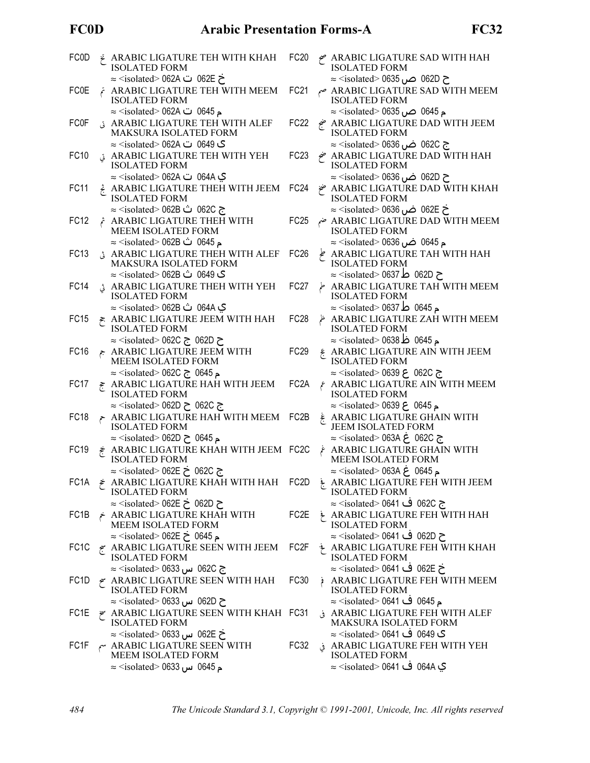## **FC0D**

| FC0D | ARABIC LIGATURE TEH WITH KHAH<br><b>ISOLATED FORM</b>                                                                          | FC <sub>20</sub>  | ARABIC LIGATURE SAD WITH HAH صح<br><b>ISOLATED FORM</b>                                                                |
|------|--------------------------------------------------------------------------------------------------------------------------------|-------------------|------------------------------------------------------------------------------------------------------------------------|
| FC0E | خ 062E ت 062A ت≤isolated> 062A<br>ARABIC LIGATURE TEH WITH MEEM<br><b>ISOLATED FORM</b>                                        | <b>FC21</b>       | ح 062D ص 0635 ∝isolated> 0635<br>ARABIC LIGATURE SAD WITH MEEM صم<br><b>ISOLATED FORM</b>                              |
| FCOF | م 0645 ت 062A ≪isolated > 062A<br><b>ARABIC LIGATURE TEH WITH ALEF</b><br>MAKSURA ISOLATED FORM                                | FC22              | م 0645 ص 0635 >≈ <isolated><br/>ARABIC LIGATURE DAD WITH JEEM خج<br/><b>ISOLATED FORM</b></isolated>                   |
| FC10 | ی 0649 ت 062A ⇔solated> 062A<br>ARABIC LIGATURE TEH WITH YEH ق<br><b>ISOLATED FORM</b>                                         | FC <sub>23</sub>  | ج 062C ض 0636 ×isolated> 0636 ≈<br>ARABIC LIGATURE DAD WITH HAH<br><b>ISOLATED FORM</b>                                |
| FC11 | ي 064A ت 062A isolated> 062A ≈<br>ARABIC LIGATURE THEH WITH JEEM                                                               | FC <sub>24</sub>  | ح 062D ضں 0636 <isolated> 0636<br/>ARABIC LIGATURE DAD WITH KHAH</isolated>                                            |
| FC12 | <b>ISOLATED FORM</b><br>ج 062C ث 062B <isolated> 062B<br/>ARABIC LIGATURE THEH WITH</isolated>                                 | FC25              | <b>ISOLATED FORM</b><br>خ  062E  ض  0636  × isolated>  0636<br>ARABIC LIGATURE DAD WITH MEEM ضم                        |
| FC13 | MEEM ISOLATED FORM<br>م 0645 ث 062B <isolated> 062B<br/>ARABIC LIGATURE THEH WITH ALEF</isolated>                              | FC <sub>26</sub>  | <b>ISOLATED FORM</b><br>م 0645 ض 0636 <isolated ≈<br="">ARABIC LIGATURE TAH WITH HAH</isolated>                        |
|      | MAKSURA ISOLATED FORM<br>ی 0649 ث 062B <isolated> 062B</isolated>                                                              |                   | <b>ISOLATED FORM</b><br>ح 062D ط 0637 ≈ <isolated></isolated>                                                          |
| FC14 | ARABIC LIGATURE THEH WITH YEH<br><b>ISOLATED FORM</b><br>ي 064A ث 062B isolated> 062B∠                                         | FC <sub>27</sub>  | ARABIC LIGATURE TAH WITH MEEM<br><b>ISOLATED FORM</b><br>م 0645 ط 0637 <isolated> 0637</isolated>                      |
| FC15 | ₹ ARABIC LIGATURE JEEM WITH HAH<br><b>ISOLATED FORM</b><br>ح 062D ج isolated> 062C ≈                                           | FC <sub>28</sub>  | ARABIC LIGATURE ZAH WITH MEEM غ<br><b>ISOLATED FORM</b><br>م 0645 ظ 0638 <isolated> 0638</isolated>                    |
| FC16 | ARABIC LIGATURE JEEM WITH<br>MEEM ISOLATED FORM                                                                                | FC <sub>29</sub>  | $\xi$ ARABIC LIGATURE AIN WITH JEEM<br><b>ISOLATED FORM</b>                                                            |
| FC17 | م 0645 ج 262C <isolated> 062C<br/>F ARABIC LIGATURE HAH WITH JEEM<br/><b>ISOLATED FORM</b></isolated>                          | FC <sub>2</sub> A | $\approx$ <isolated> 0639 ح 0620 &lt;<br/><b>ε ARABIC LIGATURE AIN WITH MEEM</b><br/><b>ISOLATED FORM</b></isolated>   |
| FC18 | $\approx$ <isolated> 062D ح 062C ج<br/>ARABIC LIGATURE HAH WITH MEEM<br/><b>ISOLATED FORM</b></isolated>                       | FC <sub>2</sub> B | ¿ ARABIC LIGATURE GHAIN WITH<br>JEEM ISOLATED FORM                                                                     |
| FC19 | $\approx$ <isolated> 062D <math>\geq</math> 0645<br/>₹ ARABIC LIGATURE KHAH WITH JEEM FC2C<br/><b>ISOLATED FORM</b></isolated> |                   | ج 062C غ 1solated> 063A ≈<br>ARABIC LIGATURE GHAIN WITH<br>MEEM ISOLATED FORM                                          |
| FC1A | ج 062C خ 062E ≈ <isolated><br/><math>\neq</math> ARABIC LIGATURE KHAH WITH HAH FC2D<br/><b>ISOLATED FORM</b></isolated>        |                   | $\approx$ <isolated> 063A <math>\geq</math> 0645<br/>ARABIC LIGATURE FEH WITH JEEM<br/><b>ISOLATED FORM</b></isolated> |
| FC1B | ح 062D خ 062E ≈ <isolated><br/>ARABIC LIGATURE KHAH WITH<br/>MEEM ISOLATED FORM</isolated>                                     | FC2E              | ج 062C ف 0641 <isolated> 0641<br/>ARABIC LIGATURE FEH WITH HAH<br/><b>ISOLATED FORM</b></isolated>                     |
| FC1C | م 0645 خ 062E <isolated> 062E<br/>ARABIC LIGATURE SEEN WITH JEEM</isolated>                                                    | FC2F              | ح 062D ف 0641 <isolated> 0641<br/>ARABIC LIGATURE FEH WITH KHAH</isolated>                                             |
| FC1D | <b>ISOLATED FORM</b><br>ج 062C س 0633 — <isolated><br/><math>\sim</math> ARABIC LIGATURE SEEN WITH HAH</isolated>              | FC30              | <b>ISOLATED FORM</b><br>خ 062E ف 0641 <isolated> 0641 ≈<br/>ARABIC LIGATURE FEH WITH MEEM</isolated>                   |
| FC1E | <b>ISOLATED FORM</b><br>ح 062D س 0633 m> ≈ <isolated<br><math>\approx</math> ARABIC LIGATURE SEEN WITH KHAH FC31</isolated<br> |                   | <b>ISOLATED FORM</b><br>م 0645 ف 0641 <isolated> 0641 ≈<br/>ARABIC LIGATURE FEH WITH ALEF ف</isolated>                 |
|      | <b>ISOLATED FORM</b><br>خ 062E س 0633 m sisolated> 0633                                                                        |                   | MAKSURA ISOLATED FORM<br>ی 0649 ف 0641 <isolated> 0641 ≈</isolated>                                                    |
| FC1F | $\sim$ ARABIC LIGATURE SEEN WITH<br>MEEM ISOLATED FORM<br>م 0645 س 0633 ⊙isolated> 0633                                        | FC32              | ARABIC LIGATURE FEH WITH YEH ف<br><b>ISOLATED FORM</b><br>ي 064A ف 0641 <isolated> 0641 ≈</isolated>                   |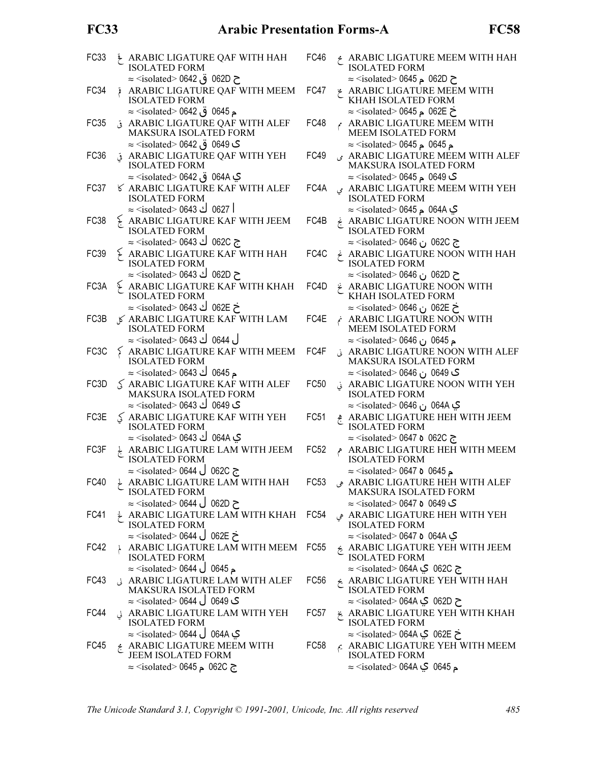### **FC33**

| FC33              |                      | ARABIC LIGATURE QAF WITH HAH<br><b>ISOLATED FORM</b>                                                                         | FC46             |    | ARABIC LIGATURE MEEM WITH HAH<br><b>ISOLATED FORM</b>                                                                        |
|-------------------|----------------------|------------------------------------------------------------------------------------------------------------------------------|------------------|----|------------------------------------------------------------------------------------------------------------------------------|
| FC34              |                      | ح 062D ق 0642 © isolated> 0642<br>ARABIC LIGATURE QAF WITH MEEM<br><b>ISOLATED FORM</b>                                      | FC47             |    | $\approx$ <isolated> 0645 م 0645 <math>\approx</math><br/><b>ARABIC LIGATURE MEEM WITH</b><br/>KHAH ISOLATED FORM</isolated> |
| FC35              |                      | م 0645 ق 0642 > ⊘isolated> 0642<br>ARABIC LIGATURE QAF WITH ALEF<br>MAKSURA ISOLATED FORM                                    | FC48             |    | $\approx$ <isolated> 0645 م 0645&gt;<br/>ARABIC LIGATURE MEEM WITH<br/>MEEM ISOLATED FORM</isolated>                         |
| FC36              |                      | ک 0649 ق 0642 ⊙ isolated> 0642<br>ARABIC LIGATURE QAF WITH YEH ف<br><b>ISOLATED FORM</b>                                     | FC49             |    | م 0645 م 0645> ≈ <isolated><br/>ARABIC LIGATURE MEEM WITH ALEF<br/>MAKSURA ISOLATED FORM</isolated>                          |
| FC37              |                      | ي 064A ق 0642 o642 ≈ <isolated<br><b>6 ARABIC LIGATURE KAF WITH ALEF</b><br/><b>ISOLATED FORM</b></isolated<br>              | FC4A             |    | ک 0649 م 0645 > ≈ <isolated><br/>ARABIC LIGATURE MEEM WITH YEH<br/><b>ISOLATED FORM</b></isolated>                           |
| FC38              |                      | 0627 ك 0643 <isolated> 0643<br/><math>\frac{1}{2}</math> ARABIC LIGATURE KAF WITH JEEM<br/><b>ISOLATED FORM</b></isolated>   | FC4B             |    | ي 064A م 0645 <isolated> 0645<br/>ARABIC LIGATURE NOON WITH JEEM<br/><b>ISOLATED FORM</b></isolated>                         |
| FC39              |                      | ج 062C ك 0643 <isolated> 0643<br/>ARABIC LIGATURE KAF WITH HAH<br/><b>ISOLATED FORM</b></isolated>                           | FC4C             |    | ج 062C ن 0646 <isolated> 0646<br/><math>\neq</math> ARABIC LIGATURE NOON WITH HAH<br/><b>ISOLATED FORM</b></isolated>        |
| FC3A              |                      | ح 062D ك 0643 <isolated> 0643<br/><math>\frac{1}{2}</math> ARABIC LIGATURE KAF WITH KHAH<br/><b>ISOLATED FORM</b></isolated> | FC4D             |    | ح 062D ن 0646 Misolated> 0646<br>ARABIC LIGATURE NOON WITH<br>KHAH ISOLATED FORM                                             |
| FC3B              |                      | خ 062E ك 0643 <isolated> 0643<br/>√ ARABIC LIGATURE KAF WITH LAM<br/><b>ISOLATED FORM</b></isolated>                         | FC4E             |    | خ 062E ن 0646 cisolated> 0646<br>ARABIC LIGATURE NOON WITH<br>MEEM ISOLATED FORM                                             |
| FC <sub>3</sub> C |                      | ل 0644 ك 0643 <isolated> 0643<br/>ARABIC LIGATURE KAF WITH MEEM<br/><b>ISOLATED FORM</b></isolated>                          | FC4F             |    | م 0645 ن 0646 <isolated ≈<br="">¿ ARABIC LIGATURE NOON WITH ALEF<br/>MAKSURA ISOLATED FORM</isolated>                        |
| FC3D              |                      | م 0645 ك 0643 <isolated> 0643<br/>S ARABIC LIGATURE KAF WITH ALEF<br/>MAKSURA ISOLATED FORM</isolated>                       | <b>FC50</b>      |    | ک 0649 ن 0646 ×isolated> 0646<br>ARABIC LIGATURE NOON WITH YEH<br><b>ISOLATED FORM</b>                                       |
| FC3E              |                      | ک 0649 ك 0643 <isolated> 0643<br/><math>\lesssim</math> ARABIC LIGATURE KAF WITH YEH<br/><b>ISOLATED FORM</b></isolated>     | FC <sub>51</sub> |    | ي 064A ن 0646 Misolated> 0646<br>ARABIC LIGATURE HEH WITH JEEM<br><b>ISOLATED FORM</b>                                       |
| FC3F              | $\frac{1}{\sqrt{2}}$ | ي 064A ك 0643 <isolated> 0643<br/>ARABIC LIGATURE LAM WITH JEEM<br/><b>ISOLATED FORM</b></isolated>                          | <b>FC52</b>      | هم | $\approx$ <isolated> 0647 <b>o</b> 062C &lt;<br/>ARABIC LIGATURE HEH WITH MEEM<br/><b>ISOLATED FORM</b></isolated>           |
| FC40              |                      | $\approx$ <isolated> 0644 ∪ 062C<br/>ARABIC LIGATURE LAM WITH HAH<br/><b>ISOLATED FORM</b></isolated>                        | FC53             |    | $\approx$ <isolated> 0647 <b>o</b> 0645<br/>ARABIC LIGATURE HEH WITH ALEF<br/>MAKSURA ISOLATED FORM</isolated>               |
| FC41              |                      | $\approx$ <isolated> 0644 ∪ 062D<br/>ARABIC LIGATURE LAM WITH KHAH<br/><b>ISOLATED FORM</b></isolated>                       | FC54             |    | ی 0649 ہ 0647 <isolated> 0647<br/>ARABIC LIGATURE HEH WITH YEH هی<br/><b>ISOLATED FORM</b></isolated>                        |
| FC42              |                      | خ 062E ل 0644 <isolated> 0644 ≍<br/>ARABIC LIGATURE LAM WITH MEEM<br/><b>ISOLATED FORM</b></isolated>                        | FC55             |    | ي 064A o 1644≻ ≈ <isolated><br/>ARABIC LIGATURE YEH WITH JEEM<br/><b>ISOLATED FORM</b></isolated>                            |
| FC43              |                      | $\approx$ <isolated> 0644 <math>\cup</math> 0645<br/>J ARABIC LIGATURE LAM WITH ALEF<br/>MAKSURA ISOLATED FORM</isolated>    | <b>FC56</b>      |    | ج 062C ي ∧064 <isolated> 064<br/>ARABIC LIGATURE YEH WITH HAH<br/><b>ISOLATED FORM</b></isolated>                            |
| FC44              |                      | ی 0649 ل 0644 <isolated ≍<br="">J ARABIC LIGATURE LAM WITH YEH<br/><b>ISOLATED FORM</b></isolated>                           | FC57             |    | ح 062D ي <isolated> 064A &lt;<br/>&amp; ARABIC LIGATURE YEH WITH KHAH<br/><b>ISOLATED FORM</b></isolated>                    |
| FC45              |                      | ي 064A ل 0644 <isolated> 0644 ≍<br/>&amp; ARABIC LIGATURE MEEM WITH<br/>JEEM ISOLATED FORM</isolated>                        | FC <sub>58</sub> |    | خ 062E ي <isolated> 064A &gt; ≈<br/>ARABIC LIGATURE YEH WITH MEEM<br/><b>ISOLATED FORM</b></isolated>                        |
|                   |                      | $\approx$ <isolated> 0645 م 0625 ≈</isolated>                                                                                |                  |    |                                                                                                                              |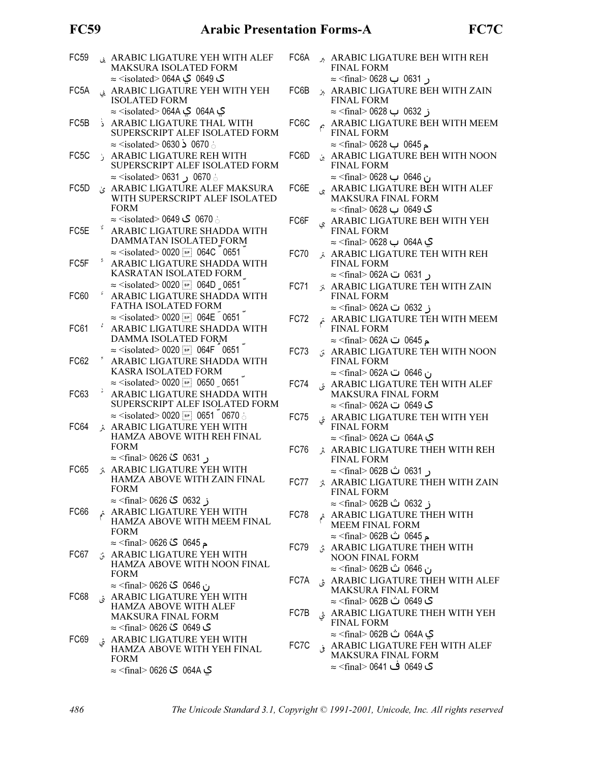## **FC59**

| FC59 |              | ARABIC LIGATURE YEH WITH ALEF<br>MAKSURA ISOLATED FORM                                                                                                             | FC <sub>6</sub> A | 人                | AR/<br>FIN.                                                                       |
|------|--------------|--------------------------------------------------------------------------------------------------------------------------------------------------------------------|-------------------|------------------|-----------------------------------------------------------------------------------|
| FC5A |              | ک 0649  کي 164A <isolated> 064A<br/>ARABIC LIGATURE YEH WITH YEH<br/><b>ISOLATED FORM</b></isolated>                                                               | FC6B              | $\lambda$        | $\approx$ <f<br>AR/<br/>FIN.</f<br>                                               |
| FC5B | َ خُ         | ي 064A Q ي 164A> o64A <isolated><br/>ARABIC LIGATURE THAL WITH<br/>SUPERSCRIPT ALEF ISOLATED FORM</isolated>                                                       | FC6C              | جم               | $\approx$ <f<br>AR/<br/>FIN.</f<br>                                               |
| FC5C | $\mathbf{E}$ | $\approx$ <isolated> 0630 &lt; 0670 \<br/><b>ARABIC LIGATURE REH WITH</b><br/>SUPERSCRIPT ALEF ISOLATED FORM</isolated>                                            | FC6D              | ین               | $\approx$ <f<br>AR/<br/>FIN.</f<br>                                               |
| FC5D |              | $\approx$ <isolated> 0631 ( 0631 × =<br/>¿ ARABIC LIGATURE ALEF MAKSURA<br/>WITH SUPERSCRIPT ALEF ISOLATED<br/><b>FORM</b></isolated>                              | FC6E              | ى                | $\approx$ <f<br>AR/<br/><b>MA</b><br/><math>\approx</math> <f< td=""></f<></f<br> |
| FC5E | Ý,           | ن 0670 ک 0649 <isolated ≈<br="">ARABIC LIGATURE SHADDA WITH<br/>DAMMATAN ISOLATED FORM</isolated>                                                                  | FC6F              | ىي               | AR/<br>FIN.<br>$\approx$ <f< td=""></f<>                                          |
| FC5F | ž            | $\approx$ <isolated> 0020 <math>\boxed{\phantom{1}^{s}</math> 064C 0651<br/>ARABIC LIGATURE SHADDA WITH<br/>KASRATAN ISOLATED FORM</isolated>                      | FC70              | $\ddot{\lambda}$ | AR/<br>FIN.<br>$\approx$ <f< td=""></f<>                                          |
| FC60 | ٤            | $\approx$ <isolated> 0020 <math>\boxed{\phantom{0}</math> sr 064D <math>\phantom{0}</math> 0651<br/>ARABIC LIGATURE SHADDA WITH<br/>FATHA ISOLATED FORM</isolated> | FC71              | 关                | AR/<br>FIN.<br>$\approx$ <f< td=""></f<>                                          |
| FC61 |              | $\approx$ <isolated> 0020 <math>\boxed{\bullet}</math> 064E 0651<br/>ARABIC LIGATURE SHADDA WITH<br/>DAMMA ISOLATED FORM</isolated>                                | FC72              |                  | AR/<br>FIN.<br>$\approx$ <f< td=""></f<>                                          |
| FC62 |              | $\approx$ <isolated> 0020 <math>\boxed{\approx}</math> 064F 0651<br/>ARABIC LIGATURE SHADDA WITH<br/>KASRA ISOLATED FORM</isolated>                                | FC73              | á.               | AR/<br>FIN.<br>$\thickapprox$ <f< td=""></f<>                                     |
| FC63 | ÷,           | $\approx$ <isolated> 0020 [sp] 0650 0651<br/>ARABIC LIGATURE SHADDA WITH<br/>SUPERSCRIPT ALEF ISOLATED FORM</isolated>                                             | FC74              | قى               | AR/<br><b>MA</b><br>$\thickapprox$ <f< td=""></f<>                                |
| FC64 | $\lambda$    | $\approx$ <isolated> 0020 <math>\boxed{\bullet}</math> 0651 0670 <math>\circ</math><br/>ARABIC LIGATURE YEH WITH<br/>HAMZA ABOVE WITH REH FINAL</isolated>         | <b>FC75</b>       | تى               | AR/<br>FIN.<br>$\approx$ <f< td=""></f<>                                          |
| FC65 |              | <b>FORM</b><br>ر 0631 گ' 626 <rinal> 0626 ≈<br/>ARABIC LIGATURE YEH WITH</rinal>                                                                                   | <b>FC76</b>       | 关                | AR/<br>FIN.                                                                       |
|      |              | HAMZA ABOVE WITH ZAIN FINAL<br><b>FORM</b><br>ز 0632 گ' 0626 <final> 0626 ≈</final>                                                                                | FC77              | Â                | $\thickapprox$ <f<br>AR/<br/>FIN.</f<br>                                          |
| FC66 | خم           | ARABIC LIGATURE YEH WITH<br>HAMZA ABOVE WITH MEEM FINAL<br><b>FORM</b>                                                                                             | FC78              | ثم               | $\approx$ <f<br>AR/<br/><b>MEI</b></f<br>                                         |
| FC67 |              | م 0645 <b>گ</b> 0626 <final> 0626   ≈<br/>ARABIC LIGATURE YEH WITH<br/>HAMZA ABOVE WITH NOON FINAL</final>                                                         | FC79              | Â                | $\thickapprox$ <f<br>AR/<br/>NO<sub>0</sub></f<br>                                |
| FC68 |              | <b>FORM</b><br>ن 0646  گٰ 0626 >≈ (final> 0626<br>ARABIC LIGATURE YEH WITH                                                                                         | FC7A              | ڠ                | $\thickapprox$ <f<br>AR/<br/>MA</f<br>                                            |
|      |              | <b>HAMZA ABOVE WITH ALEF</b><br><b>MAKSURA FINAL FORM</b><br><b>ک 0649  گٔ 0626 &gt;≈ &lt;</b> final⊃                                                              | FC7B              | ڨ                | $\approx$ <f<br>AR/<br/>FIN.</f<br>                                               |
| FC69 |              | ARABIC LIGATURE YEH WITH فَ<br>HAMZA ABOVE WITH YEH FINAL<br><b>FORM</b>                                                                                           | FC7C              | فى               | $\thickapprox$ <f<br>AR/<br/>MA</f<br>                                            |
|      |              | ي 064A کٔ 0626 > ∞final> 0626 ≈                                                                                                                                    |                   |                  | $\approx$ <f< td=""></f<>                                                         |

| FC6A        |                     | ARABIC LIGATURE BEH WITH REH<br><b>FINAL FORM</b>                        |
|-------------|---------------------|--------------------------------------------------------------------------|
|             |                     | ر 0631 ب 0628 <final> 0628</final>                                       |
| FC6B        |                     | ARABIC LIGATURE BEH WITH ZAIN<br><b>FINAL FORM</b>                       |
|             |                     | ز 0632 ب 0628 >≈ <final></final>                                         |
| FC6C        | $\hat{\mathcal{L}}$ | ARABIC LIGATURE BEH WITH MEEM<br><b>FINAL FORM</b>                       |
|             |                     | م 0645 ب 0628 <final> 0628</final>                                       |
| FC6D        |                     | ARABIC LIGATURE BEH WITH NOON<br><b>FINAL FORM</b>                       |
|             |                     | ن 0646 ب 0628 linal> 0628                                                |
| FC6E        | بى                  | ARABIC LIGATURE BEH WITH ALEF<br><b>MAKSURA FINAL FORM</b>               |
|             |                     | ی 0649 ب 0628 >≈ <final></final>                                         |
| FC6F        | چ                   | ARABIC LIGATURE BEH WITH YEH<br><b>FINAL FORM</b>                        |
|             |                     | ي 064A ب 0628 > ≈ <final> 0628</final>                                   |
| <b>FC70</b> |                     | ARABIC LIGATURE TEH WITH REH<br><b>FINAL FORM</b>                        |
|             |                     | ر 0631 ت 062A <final> 062A</final>                                       |
| <b>FC71</b> |                     | <b>ARABIC LIGATURE TEH WITH ZAIN</b>                                     |
|             |                     | <b>FINAL FORM</b>                                                        |
|             |                     | ز 0632 ت 062A <rinal> 062A</rinal>                                       |
| FC72        | تم                  | ARABIC LIGATURE TEH WITH MEEM<br><b>FINAL FORM</b>                       |
|             |                     | م 0645 ت 062A <final> 062A ≍</final>                                     |
| FC73        |                     | ARABIC LIGATURE TEH WITH NOON<br><b>FINAL FORM</b>                       |
|             |                     | ن 0646 ت 062A > ≈ <final></final>                                        |
| FC74        | ق                   | ARABIC LIGATURE TEH WITH ALEF                                            |
|             |                     | <b>MAKSURA FINAL FORM</b>                                                |
|             |                     | ک 0649 ت 062A ⇒ <final> 062A</final>                                     |
| <b>FC75</b> | تى                  | ARABIC LIGATURE TEH WITH YEH                                             |
|             |                     | <b>FINAL FORM</b>                                                        |
|             |                     | ي 064A ت 062A <final> 062A</final>                                       |
| FC76        |                     | ARABIC LIGATURE THEH WITH REH<br><b>FINAL FORM</b>                       |
|             |                     |                                                                          |
|             |                     | 0631 ث 062B <final> 062B<br/><math>\overline{\phantom{a}}</math></final> |
| FC77        |                     | ARABIC LIGATURE THEH WITH ZAIN ثر<br><b>FINAL FORM</b>                   |
|             |                     | ز 0632 ث 062B <final> 062B</final>                                       |
| FC78        | ثم                  | ARABIC LIGATURE THEH WITH<br><b>MEEM FINAL FORM</b>                      |
|             |                     | ء 0645 ث 062B <final> 062B</final>                                       |
| FC79        |                     | ARABIC LIGATURE THEH WITH<br><b>NOON FINAL FORM</b>                      |
|             |                     | ن 0646 ث 062B > ≈ <final> 062B</final>                                   |
| FC7A        |                     | ARABIC LIGATURE THEH WITH ALEF في<br><b>MAKSURA FINAL FORM</b>           |
|             |                     | ی 0649 ث 062B <final> 062B</final>                                       |
| FC7B        |                     | ARABIC LIGATURE THEH WITH YEH يَ                                         |
|             |                     | <b>FINAL FORM</b>                                                        |
|             |                     | ي 064A ث 062B > ≈ <final> 062B</final>                                   |
| FC7C        |                     | ARABIC LIGATURE FEH WITH ALEF                                            |

KSURA FINAL FORM ى 0649 ف 1641 <final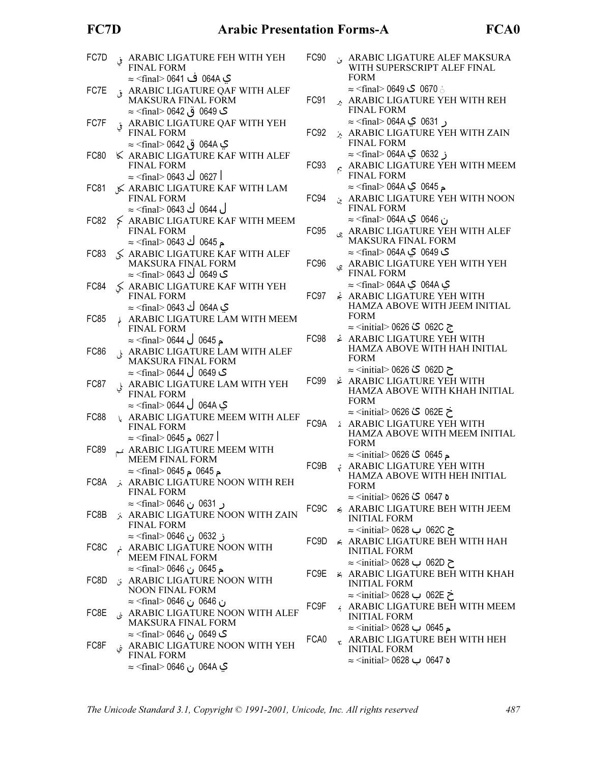## FC7D

| FC7D |    | ARABIC LIGATURE FEH WITH YEH<br><b>FINAL FORM</b>                                                                                                 | FC90              |                                |
|------|----|---------------------------------------------------------------------------------------------------------------------------------------------------|-------------------|--------------------------------|
| FC7E | قى | ک 064A ف 0641> ⊘s ∈ <final<br>ARABIC LIGATURE QAF WITH ALEF<br/>MAKSURA FINAL FORM<br/><b>ک</b> 0649 ق 0642&gt; ≈ <final> 0642</final></final<br> | FC91              | ⋏                              |
| FC7F |    | ARABIC LIGATURE QAF WITH YEH<br><b>FINAL FORM</b>                                                                                                 | FC92              |                                |
| FC80 |    | ي 064A ق 0642 imal> 0642 ≈<br>K ARABIC LIGATURE KAF WITH ALEF<br><b>FINAL FORM</b><br>  0627 ك 0643 <final> 0643</final>                          | FC93              | $\mathop{\rm e}\nolimits^{-1}$ |
| FC81 |    | ≤ ARABIC LIGATURE KAF WITH LAM<br><b>FINAL FORM</b>                                                                                               | FC94              | ين                             |
| FC82 |    | ل 0644 ك 0643 <refinal> 064<br/><math>\frac{1}{2}</math> ARABIC LIGATURE KAF WITH MEEM<br/><b>FINAL FORM</b></refinal>                            | FC95              | چى                             |
| FC83 |    | م 0645 ك 0643> ≈ <final><br/>√ ARABIC LIGATURE KAF WITH ALEF<br/>MAKSURA FINAL FORM<br/>ک 0649 ك 0643 <final> 064</final></final>                 | FC96              | <i>ا</i> يي                    |
| FC84 |    | S ARABIC LIGATURE KAF WITH YEH<br><b>FINAL FORM</b><br>ي 064A ك 0643 <rfinal> 064</rfinal>                                                        | FC97              | ÷                              |
| FC85 |    | ARABIC LIGATURE LAM WITH MEEM<br><b>FINAL FORM</b>                                                                                                |                   |                                |
| FC86 |    | م 0645 ل 0644 <final> 0644 ≂<br/>ARABIC LIGATURE LAM WITH ALEF<br/><b>MAKSURA FINAL FORM</b><br/>ک 0649  ل 0644 <final> 0644</final></final>      | FC98              | ئح                             |
| FC87 |    | ARABIC LIGATURE LAM WITH YEH<br><b>FINAL FORM</b>                                                                                                 | FC99              | Ž.                             |
| FC88 |    | ي 064A ل 0644 <rfinal> 0644 ≂<br/><b>ARABIC LIGATURE MEEM WITH ALEF</b><br/><b>FINAL FORM</b></rfinal>                                            | FC9A              |                                |
| FC89 |    | ا 0627 م 0645> ≈ <final⊃ 0645<br="">ARABIC LIGATURE MEEM WITH<br/><b>MEEM FINAL FORM</b></final⊃>                                                 | FC9B              |                                |
| FC8A |    | م 0645  م 0645  ≧ <final> 0645<br/>ARABIC LIGATURE NOON WITH REH<br/><b>FINAL FORM</b></final>                                                    |                   |                                |
| FC8B |    | ر 0631 ن 0646 <final∻ 064<br="">ARABIC LIGATURE NOON WITH ZAIN<br/><b>FINAL FORM</b></final∻>                                                     | FC <sub>9</sub> C |                                |
| FC8C |    | ز 0632 ن 0646 Minal> 0646<br>ARABIC LIGATURE NOON WITH<br><b>MEEM FINAL FORM</b>                                                                  | FC9D              | $\leq$ /                       |
| FC8D |    | م 0645 ن 0646 ⊠r> ≈<br>ARABIC LIGATURE NOON WITH<br><b>NOON FINAL FORM</b>                                                                        | FC9E              | $\leq$ 1                       |
| FC8E |    | ن 0646 ن 1646≈ ≍<br>¿ ARABIC LIGATURE NOON WITH ALEF<br>MAKSURA FINAL FORM                                                                        | FC9F              | $\frac{1}{2}$                  |
| FC8F |    | <b>ک</b> 0649 ن 0646 >≈ (final<br>ARABIC LIGATURE NOON WITH YEH<br><b>FINAL FORM</b><br>ي 064A ن 0646 Minal> 0646                                 | FCA0              |                                |

| $-C90$           |    | ARABIC LIGATURE ALEF MAKSURA<br>WITH SUPERSCRIPT ALEF FINAL<br><b>FORM</b>                                                                            |
|------------------|----|-------------------------------------------------------------------------------------------------------------------------------------------------------|
| <sup>=</sup> C91 |    | ش 0670  ک 0649 <final⊘ 10649="" ≈<br="">ARABIC LIGATURE YEH WITH REH<br/><b>FINAL FORM</b></final⊘>                                                   |
| C92              |    | ر 0631 ي 164A⊝ ≤final> 064A<br>ARABIC LIGATURE YEH WITH ZAIN<br><b>FINAL FORM</b>                                                                     |
| FC93             | جم | ز 0632 ي 164A⊝ final> 064A ≈<br>ARABIC LIGATURE YEH WITH MEEM<br><b>FINAL FORM</b>                                                                    |
| <sup>-</sup> C94 |    | م 0645  ¶ 164A Vinal> 0645  ≈<br>ARABIC LIGATURE YEH WITH NOON<br><b>FINAL FORM</b>                                                                   |
| =C95             |    | ن 0646  آي 164A <final> 064A  —<br/><b>ARABIC LIGATURE YEH WITH ALEF</b><br/><b>MAKSURA FINAL FORM</b></final>                                        |
| FC96             |    | ی 0649  ک 0644 <final> 0644  ≈<br/><b>ARABIC LIGATURE YEH WITH YEH</b><br/><b>FINAL FORM</b></final>                                                  |
| C97              |    | ي 064A Q ي 164A <final> 064A<br/><b>∠ ARABIC LIGATURE YEH WITH</b><br/>HAMZA ABOVE WITH JEEM INITIAL<br/><b>FORM</b></final>                          |
| <sup>=</sup> C98 |    | ج 062C گ 0626 los26 cinitial> 0626<br><b>ARABIC LIGATURE YEH WITH</b><br>HAMZA ABOVE WITH HAH INITIAL<br><b>FORM</b>                                  |
| <sup>-</sup> C99 |    | ح 062D گٰ 0626 >≈ <initial> 0626<br/><b>Ż ARABIC LIGATURE YEH WITH</b><br/>HAMZA ABOVE WITH KHAH INITIAL<br/><b>FORM</b></initial>                    |
| C <sub>9</sub> A |    | خ 062E گ 0626 <initial> 0626<br/><b>ARABIC LIGATURE YEH WITH</b><br/>HAMZA ABOVE WITH MEEM INITIAL</initial>                                          |
| FC9B             |    | <b>FORM</b><br>م 0645  كٔ 0626 > ⊘initial> 0626 ×<br>ARABIC LIGATURE YEH WITH<br>HAMZA ABOVE WITH HEH INITIAL<br><b>FORM</b>                          |
| C9C              |    | ہ 0647 گ' 0626 <initial> 0626 ≈<br/>ARABIC LIGATURE BEH WITH JEEM<br/><b>INITIAL FORM</b></initial>                                                   |
| C <sub>9</sub> D |    | ج 062C ب 0628 linitial> 0628<br>← ARABIC LIGATURE BEH WITH HAH<br><b>INITIAL FORM</b>                                                                 |
| FC9E             |    | ح 062D ب 0628 <initial> 0628<br/>⊭ ARABIC LIGATURE BEH WITH KHAH<br/><b>INITIAL FORM</b></initial>                                                    |
| FC9F             |    | خ 062E ب 0628 <initial> 0628<br/>ARABIC LIGATURE BEH WITH MEEM<br/><b>INITIAL FORM</b></initial>                                                      |
| FCA0             |    | م 0645 ب 0628 <initial> 0628<br/><math>\kappa</math> ARABIC LIGATURE BEH WITH HEH<br/><b>INITIAL FORM</b><br/>ہ 0647 ب 0628 litial&gt; 0628</initial> |
|                  |    |                                                                                                                                                       |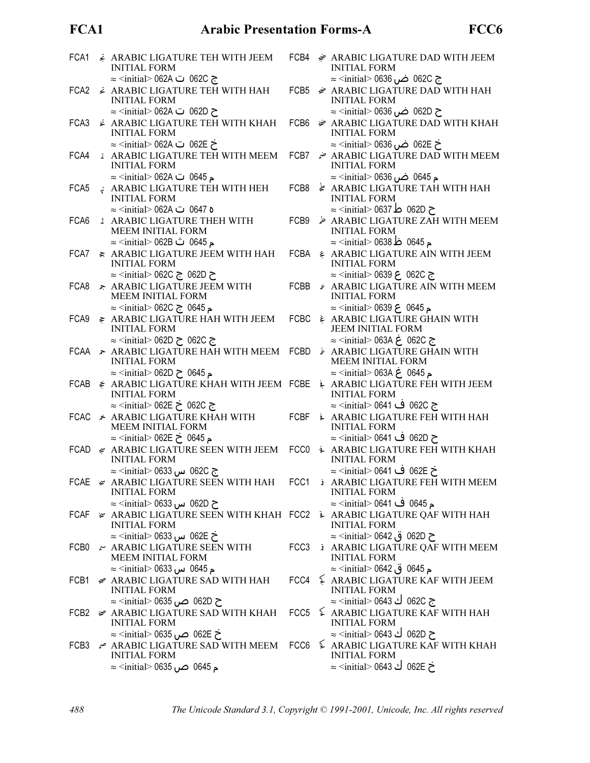## FCA1

| FCA1             | ARABIC LIGATURE TEH WITH JEEM<br><b>INITIAL FORM</b>                                                          |      | FCB4 $\approx$ ARABIC LIGATURE DAD WITH JEEM<br><b>INITIAL FORM</b>                    |
|------------------|---------------------------------------------------------------------------------------------------------------|------|----------------------------------------------------------------------------------------|
|                  | ج 062C ت 062A <initial> 062A</initial>                                                                        |      | ج 062C ضن 0636 <initial> 0636</initial>                                                |
| FCA <sub>2</sub> | <b>¿ ARABIC LIGATURE TEH WITH HAH</b><br><b>INITIAL FORM</b>                                                  | FCB5 | <b>ARABIC LIGATURE DAD WITH HAH</b><br><b>INITIAL FORM</b>                             |
|                  | ح 062D ت 062A ⇔ <initial> 062A</initial>                                                                      |      | ح 062D ضر، 0636 <initial> 0636</initial>                                               |
| FCA3             | <b>Ż ARABIC LIGATURE TEH WITH KHAH</b><br><b>INITIAL FORM</b>                                                 | FCB6 | ie ARABIC LIGATURE DAD WITH KHAH<br><b>INITIAL FORM</b>                                |
|                  | خ 062E ت 062A ≈ <initial> 062A</initial>                                                                      |      | خ 062E ضر 0636 <initial> 0636</initial>                                                |
| FCA4             | <b>ARABIC LIGATURE TEH WITH MEEM</b><br><b>INITIAL FORM</b>                                                   | FCB7 | ARABIC LIGATURE DAD WITH MEEM ضم<br><b>INITIAL FORM</b>                                |
|                  | ⊾ 0645 ت 062A <initial> 062A ≈</initial>                                                                      |      | م 0645 ضں 0636 <initial> 063</initial>                                                 |
| FCA5             | ARABIC LIGATURE TEH WITH HEH<br><b>INITIAL FORM</b>                                                           | FCB8 | $\frac{1}{2}$ ARABIC LIGATURE TAH WITH HAH<br><b>INITIAL FORM</b>                      |
|                  | ہ 0647 ت 062A <initial> 062A —</initial>                                                                      |      | ح 062D ط 0637 <initial> 0637</initial>                                                 |
| FCA6             | <b>ARABIC LIGATURE THEH WITH</b><br>MEEM INITIAL FORM                                                         | FCB9 | ARABIC LIGATURE ZAH WITH MEEM<br><b>INITIAL FORM</b>                                   |
|                  | م 0645 ث 062B <initial> 062B</initial>                                                                        |      | م 0645 ظ 0638 <initial> 0638 ≈</initial>                                               |
| FCA7             | ≥ ARABIC LIGATURE JEEM WITH HAH<br><b>INITIAL FORM</b>                                                        |      | FCBA & ARABIC LIGATURE AIN WITH JEEM<br><b>INITIAL FORM</b>                            |
|                  | ح 062D ج 260C ج≤initial> 062C                                                                                 |      | ج 062C ع 0639 <initial> 0639 ≈</initial>                                               |
| FCA8             | <b>ARABIC LIGATURE JEEM WITH</b><br>MEEM INITIAL FORM                                                         | FCBB | <i>⊱</i> ARABIC LIGATURE AIN WITH MEEM<br><b>INITIAL FORM</b>                          |
|                  | م 0645 ج ∨962C <initial> 062C</initial>                                                                       |      | م 0645 ع 0639 <initial> 0639 ≈</initial>                                               |
| FCA9             | <i>≽</i> ARABIC LIGATURE HAH WITH JEEM<br><b>INITIAL FORM</b>                                                 |      | FCBC & ARABIC LIGATURE GHAIN WITH<br><b>JEEM INITIAL FORM</b>                          |
|                  | ج 062C ح 062D Mitial> 062D                                                                                    |      | ج 062C غ 063A <initial> 063A</initial>                                                 |
|                  | FCAA ARABIC LIGATURE HAH WITH MEEM FCBD<br><b>INITIAL FORM</b>                                                |      | ARABIC LIGATURE GHAIN WITH<br>MEEM INITIAL FORM                                        |
|                  | م 0645 ح 062D <initial> 062D</initial>                                                                        |      | م 0645 غ 063A <initial> 063A</initial>                                                 |
| FCAB             | <i>I</i> ARABIC LIGATURE KHAH WITH JEEM FCBE<br><b>INITIAL FORM</b>                                           |      | ARABIC LIGATURE FEH WITH JEEM<br><b>INITIAL FORM</b>                                   |
|                  | ج 062C خ 062E ≈ <initial> 062E</initial>                                                                      |      | ج 062C ف 0641> ≈ <initial> 0641</initial>                                              |
|                  | FCAC * ARABIC LIGATURE KHAH WITH<br>MEEM INITIAL FORM                                                         | FCBF | ARABIC LIGATURE FEH WITH HAH<br><b>INITIAL FORM</b>                                    |
|                  | م 0645 خ 062E <initial> 062E</initial>                                                                        |      | ح 062D ف 0641> ≈ <initial> 0641</initial>                                              |
|                  | FCAD & ARABIC LIGATURE SEEN WITH JEEM FCC0 $\frac{1}{2}$ ARABIC LIGATURE FEH WITH KHAH<br><b>INITIAL FORM</b> |      | <b>INITIAL FORM</b>                                                                    |
|                  | ج 062C س 0633 initial> 0633<br>FCAE $\leq$ ARABIC LIGATURE SEEN WITH HAH                                      |      | خ 062E ف 0641> ≈ <initial> 0641<br/>FCC1 &amp; ARABIC LIGATURE FEH WITH MEEM</initial> |
|                  | <b>INITIAL FORM</b>                                                                                           |      | <b>INITIAL FORM</b>                                                                    |
| FCAF             | ح 062D س 0633 initial> 0633                                                                                   |      | م 0645 ف 0641> ⊘≤initial> 0641                                                         |
|                  | # ARABIC LIGATURE SEEN WITH KHAH FCC2 → ARABIC LIGATURE QAF WITH HAH<br><b>INITIAL FORM</b>                   |      | <b>INITIAL FORM</b>                                                                    |
|                  | خ 062E س 0633 — <initial> 0633<br/><math>\sim</math> ARABIC LIGATURE SEEN WITH</initial>                      |      | ح 062D ق 0642 initial> 0642 ≈<br>FCC3 à ARABIC LIGATURE QAF WITH MEEM                  |
| FCB0             | <b>MEEM INITIAL FORM</b>                                                                                      |      | <b>INITIAL FORM</b>                                                                    |
|                  | ⊾ 0645 س 0633 / cinitial> 0633<br>FCB1 <del>≤</del> ARABIC LIGATURE SAD WITH HAH                              |      | م 0645  ق 0642 ⊙ initial> 0642<br>FCC4 $\leq$ ARABIC LIGATURE KAF WITH JEEM            |
|                  | <b>INITIAL FORM</b>                                                                                           |      | <b>INITIAL FORM</b><br>ج 062C ك 0643 <initial> 0643</initial>                          |
|                  | ح 062D ص 0635 ∝initial> 0635<br>FCB2 <del>¥</del> ARABIC LIGATURE SAD WITH KHAH                               |      | FCC5  ≨ ARABIC LIGATURE KAF WITH HAH                                                   |
|                  | <b>INITIAL FORM</b><br>خ 062E ص 0635 >≈ <initial> 0635</initial>                                              |      | <b>INITIAL FORM</b><br>ح 062D ك 0643 <initial> 0643</initial>                          |
|                  | FCB3 $\sim$ ARABIC LIGATURE SAD WITH MEEM                                                                     |      | FCC6 $\leq$ ARABIC LIGATURE KAF WITH KHAH                                              |
|                  | <b>INITIAL FORM</b><br>م 0645 صن 0635 <initial> 0635</initial>                                                |      | <b>INITIAL FORM</b><br>خ 062E ك 0643 <initial> 0643</initial>                          |
|                  |                                                                                                               |      |                                                                                        |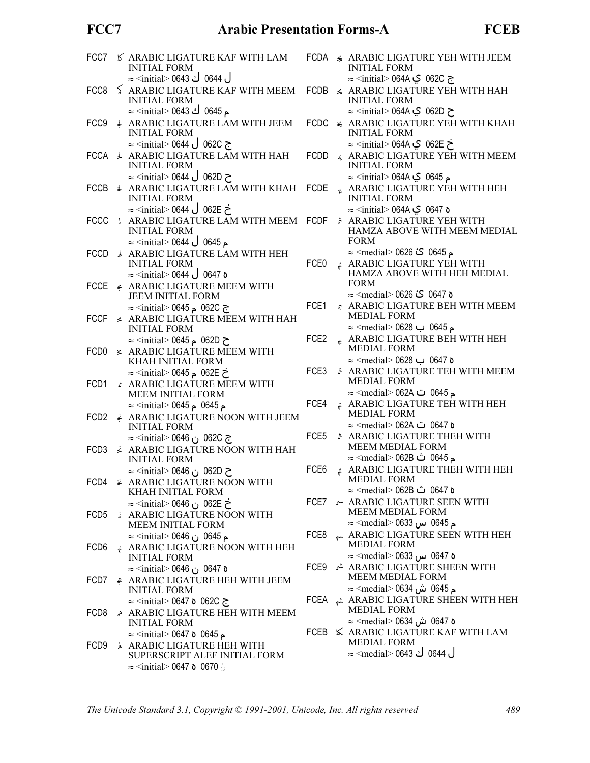## FCC7

# **Arabic Presentation Forms-A**

| FCC7             | <b>6 ARABIC LIGATURE KAF WITH LAM</b><br><b>INITIAL FORM</b><br>ل 0644 ك 0643 <initial> 064</initial>       |                  | FCDA & ARABIC LIGATURE YEH WITH JEEM<br><b>INITIAL FORM</b><br>ج 062C ي 164A <initial> 064A ≈</initial>                      |
|------------------|-------------------------------------------------------------------------------------------------------------|------------------|------------------------------------------------------------------------------------------------------------------------------|
| FCC8             | <b>ARABIC LIGATURE KAF WITH MEEM</b><br><b>INITIAL FORM</b>                                                 | FCDB             | ← ARABIC LIGATURE YEH WITH HAH<br><b>INITIAL FORM</b>                                                                        |
| FCC9             | م 0645 ك 0643 l> ⊘s = <initial<br><b>ARABIC LIGATURE LAM WITH JEEM</b><br/><b>INITIAL FORM</b></initial<br> | FCDC             | ح 062D ڪِ 164Aڪ ≈ <initial><br/>⊭ ARABIC LIGATURE YEH WITH KHAH<br/><b>INITIAL FORM</b></initial>                            |
| FCCA             | ج 062C ل 0644 <initial> 0644<br/>↓ ARABIC LIGATURE LAM WITH HAH<br/><b>INITIAL FORM</b></initial>           | FCDD             | خ 062E ي ∧0644 <initial> 064<br/>ARABIC LIGATURE YEH WITH MEEM<br/><b>INITIAL FORM</b></initial>                             |
| FCCB             | ح 062D ل 0644 <initial> 0644<br/>↓ ARABIC LIGATURE LAM WITH KHAH<br/><b>INITIAL FORM</b></initial>          | <b>FCDE</b>      | م 0645 Q Q O64A ب≦initial> 064A<br>$\epsilon$ ARABIC LIGATURE YEH WITH HEH<br><b>INITIAL FORM</b>                            |
| <b>FCCC</b>      | خ 062E ل 0644 <initial> 0644 ≂<br/><b>L ARABIC LIGATURE LAM WITH MEEM</b><br/><b>INITIAL FORM</b></initial> | FCDF             | ہ 0647 ڪي O64A <initial> 064A ⇒<br/>ARABIC LIGATURE YEH WITH<br/>HAMZA ABOVE WITH MEEM MEDIAL</initial>                      |
| <b>FCCD</b>      | $\approx$ <initial> 0644 U 0645<br/><b>ARABIC LIGATURE LAM WITH HEH</b><br/><b>INITIAL FORM</b></initial>   | FCE <sub>0</sub> | <b>FORM</b><br>م 0645  گٰ 0626 > medial> 0626 ≈<br>* ARABIC LIGATURE YEH WITH                                                |
| <b>FCCE</b>      | $\approx$ <initial> 0644 و 0647<br/>ARABIC LIGATURE MEEM WITH</initial>                                     |                  | HAMZA ABOVE WITH HEH MEDIAL<br><b>FORM</b>                                                                                   |
| <b>FCCF</b>      | <b>JEEM INITIAL FORM</b><br>ج 062C م 0645 > ≈ <initial><br/>← ARABIC LIGATURE MEEM WITH HAH</initial>       | FCE1             | ہ 0647 کٔ 0626 <medial⊘ 0626="" ≈<br="">ARABIC LIGATURE BEH WITH MEEM<br/><b>MEDIAL FORM</b></medial⊘>                       |
| FCD0             | <b>INITIAL FORM</b><br>ح 062D م 0645 > ≈ <initial><br/>≠ ARABIC LIGATURE MEEM WITH</initial>                | FCE <sub>2</sub> | م 0645 ب 0628 lmedial> 0628<br>$\kappa$ ARABIC LIGATURE BEH WITH HEH<br><b>MEDIAL FORM</b>                                   |
|                  | KHAH INITIAL FORM<br>خ 062E م 0645 > ≈ <initial></initial>                                                  | FCE3             | ہ 0647 ب 0628 ⊲medial> 0628<br>ARABIC LIGATURE TEH WITH MEEM<br><b>MEDIAL FORM</b>                                           |
| FCD1             | ARABIC LIGATURE MEEM WITH<br><b>MEEM INITIAL FORM</b><br>م 0645 م 0645 <initial> 0645</initial>             | FCE4             | م 0645 ت 062A <medial> 062A<br/>ARABIC LIGATURE TEH WITH HEH</medial>                                                        |
| FCD <sub>2</sub> | <b>ARABIC LIGATURE NOON WITH JEEM</b><br><b>INITIAL FORM</b><br>ج 062C ن 0646 <initial> 0646</initial>      | FCE <sub>5</sub> | <b>MEDIAL FORM</b><br>ہ 0647 ت 062A <medial> 062A<br/><b>ARABIC LIGATURE THEH WITH</b></medial>                              |
| FCD3             | <b>∠ ARABIC LIGATURE NOON WITH HAH</b><br><b>INITIAL FORM</b><br>ح 062D ن 0646 Mitial> 0646                 | FCE <sub>6</sub> | MEEM MEDIAL FORM<br>م 0645 ث 062B ⇔ <medial> 062B<br/><math>\phi</math> ARABIC LIGATURE THEH WITH HEH</medial>               |
|                  | FCD4 & ARABIC LIGATURE NOON WITH<br>KHAH INITIAL FORM                                                       |                  | MEDIAL FORM<br>ہ 0647 ث 062B <medial> 062B</medial>                                                                          |
| FCD5             | خ 062E ن 0646 ⊙initial> 0646<br>ARABIC LIGATURE NOON WITH<br>MEEM INITIAL FORM                              |                  | FCE7 & ARABIC LIGATURE SEEN WITH<br><b>MEEM MEDIAL FORM</b><br>⊾ 0645 س 0633 ⊙medial> 0633                                   |
| FCD <sub>6</sub> | م 0645 ن 0646 lo conitial> 0646<br>$\cdot$ ARABIC LIGATURE NOON WITH HEH<br><b>INITIAL FORM</b>             | FCE8             | ARABIC LIGATURE SEEN WITH HEH<br><b>MEDIAL FORM</b><br>ہ 0647 س 0633 ⊙medial> 0633                                           |
| FCD7             | ه 0647 ن 0646 Mitial> 0647<br><u>е</u> ARABIC LIGATURE НЕН WITH JEEM<br><b>INITIAL FORM</b>                 |                  | FCE9 $\stackrel{\star}{\star}$ ARABIC LIGATURE SHEEN WITH<br><b>MEEM MEDIAL FORM</b><br>⊾ 0645 ش 0634 <medial> 0634</medial> |
| FCD8             | ج 062C ہ 0647 <initial> 0647<br/>ARABIC LIGATURE HEH WITH MEEM</initial>                                    |                  | FCEA ARABIC LIGATURE SHEEN WITH HEH<br><b>MEDIAL FORM</b><br>ہ 0647 ش 0634 <medial∽ 0634<="" td=""></medial∽>                |
| FCD <sub>9</sub> | <b>INITIAL FORM</b><br>$\approx$ <initial> 0647 o 0645 &gt;<br/>ARABIC LIGATURE HEH WITH</initial>          |                  | FCEB $\ltimes$ ARABIC LIGATURE KAF WITH LAM<br><b>MEDIAL FORM</b>                                                            |
|                  | SUPERSCRIPT ALEF INITIAL FORM<br>$\approx$ <initial> 0647 <b>o</b> 0670 <math>\circ</math></initial>        |                  | ل 0644 ك 0643 <medial∽ 0644<="" td=""></medial∽>                                                                             |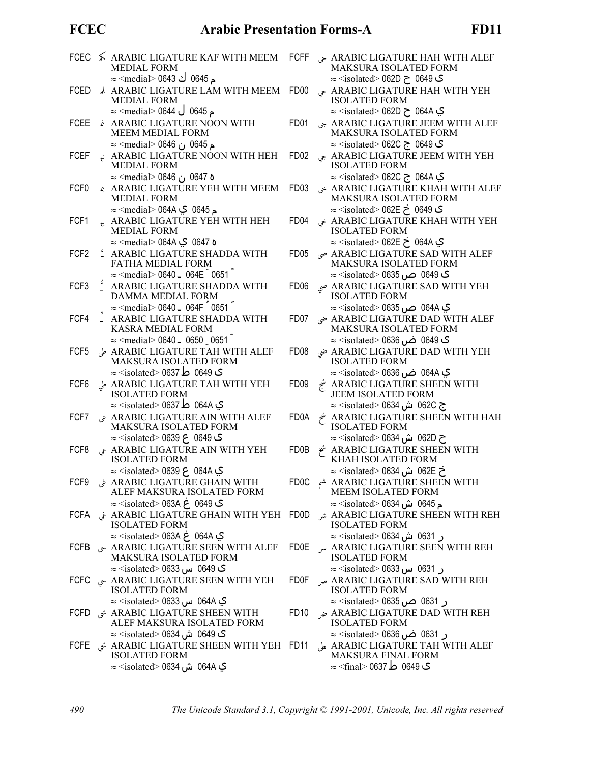## **FCEC**

|                  | FCEC ≤ ARABIC LIGATURE KAF WITH MEEM<br><b>MEDIAL FORM</b>                                                                                                | <b>FCFF</b>       | ARABIC LIGATURE HAH WITH ALEF حى<br>MAKSURA ISOLATED FORM                                                                             |
|------------------|-----------------------------------------------------------------------------------------------------------------------------------------------------------|-------------------|---------------------------------------------------------------------------------------------------------------------------------------|
| <b>FCED</b>      | م 0645 ك 0643 l> ⊘medial><br>A ARABIC LIGATURE LAM WITH MEEM<br><b>MEDIAL FORM</b>                                                                        | FD <sub>00</sub>  | ی 0649 ح 062D ح isolated> 062D<br>ARABIC LIGATURE HAH WITH YEH<br><b>ISOLATED FORM</b>                                                |
| <b>FCEE</b>      | م 0645 ل 0644 <medial∽ 0644="" ≂<br="">ARABIC LIGATURE NOON WITH<br/>MEEM MEDIAL FORM</medial∽>                                                           | FD <sub>01</sub>  | ي 064A ح 62D Misolated> 062D<br>ARABIC LIGATURE JEEM WITH ALEF جى<br>MAKSURA ISOLATED FORM                                            |
| <b>FCEF</b>      | م 0645 ن 0646 >≈ <medial<br><math>\star</math> ARABIC LIGATURE NOON WITH HEH<br/><b>MEDIAL FORM</b></medial<br>                                           | FD <sub>02</sub>  | ک 0649  ج ⊃62C  ج isolated> 062C°<br>ARABIC LIGATURE JEEM WITH YEH جي<br><b>ISOLATED FORM</b>                                         |
| FCF <sub>0</sub> | ہ 0647 ن 0646 km> ≈<br>ARABIC LIGATURE YEH WITH MEEM<br><b>MEDIAL FORM</b>                                                                                | FD <sub>03</sub>  | ي 064A ح 062C <isolated> 062C<br/>ARABIC LIGATURE KHAH WITH ALEF<br/>MAKSURA ISOLATED FORM</isolated>                                 |
| FCF1             | م 0645  ¶ O64A  ب medial> 064A  —<br>$\kappa$ ARABIC LIGATURE YEH WITH HEH<br><b>MEDIAL FORM</b>                                                          | FD <sub>04</sub>  | ک 0649 خ 062E ⇒ isolated> 062E<br>ARABIC LIGATURE KHAH WITH YEH<br><b>ISOLATED FORM</b>                                               |
| FCF <sub>2</sub> | ہ 0647 ڪي 064A <medial> 064A<br/><sup>2</sup> ARABIC LIGATURE SHADDA WITH<br/>FATHA MEDIAL FORM</medial>                                                  | FD <sub>05</sub>  | ي 064A خ 062E <isolated> 062E<br/>ARABIC LIGATURE SAD WITH ALEF صي<br/>MAKSURA ISOLATED FORM</isolated>                               |
| FCF3             | $\approx$ <medial> 0640 = 064E 0651<br/>ARABIC LIGATURE SHADDA WITH<br/>DAMMA MEDIAL FORM</medial>                                                        | FD <sub>06</sub>  | ک 0649 ص 0635 >≈ <isolated ⊃<br="">ARABIC LIGATURE SAD WITH YEH صى<br/><b>ISOLATED FORM</b></isolated>                                |
| FCF4             | $\approx$ <medial> 0640 = 064F 0651<br/>ARABIC LIGATURE SHADDA WITH<br/>KASRA MEDIAL FORM</medial>                                                        | FD07              | ي 064A ص 0635 >≈ <isolated><br/>ARABIC LIGATURE DAD WITH ALEF ضى<br/><b>MAKSURA ISOLATED FORM</b></isolated>                          |
| FCF <sub>5</sub> | $\approx$ <medial> 0640 = 0650 0651<br/>ARABIC LIGATURE TAH WITH ALEF<br/>MAKSURA ISOLATED FORM</medial>                                                  | FD <sub>08</sub>  | ک 0649 ضں 0636 <isolated ≂<br="">ARABIC LIGATURE DAD WITH YEH ضى<br/><b>ISOLATED FORM</b></isolated>                                  |
| FCF <sub>6</sub> | ي 0649 ط 0637 <isolated> 0637 ≈<br/>ARABIC LIGATURE TAH WITH YEH ط<br/><b>ISOLATED FORM</b></isolated>                                                    | FD <sub>09</sub>  | ي 064A ض 0636 >≈ <isolated><br/>ARABIC LIGATURE SHEEN WITH شج<br/><b>JEEM ISOLATED FORM</b></isolated>                                |
| FCF7             | ي 064A ط 0637 <isolated> 0637<br/>ARABIC LIGATURE AIN WITH ALEF<br/>MAKSURA ISOLATED FORM</isolated>                                                      | FD <sub>0</sub> A | ج 062C ش 0634 <isolated> 0634<br/>ARABIC LIGATURE SHEEN WITH HAH<br/><b>ISOLATED FORM</b></isolated>                                  |
| FCF8             | ی 0649 ع 0639 <isolated> 0639<br/><math display="inline">\mathcal S</math> ARABIC LIGATURE AIN WITH YEH<br/><b>ISOLATED FORM</b></isolated>               | FD0B              | ح 062D ش 0634 ≪isolated ⊃ 0634<br>ARABIC LIGATURE SHEEN WITH ثَمْ<br>KHAH ISOLATED FORM                                               |
| FCF <sub>9</sub> | ي 064A ع 0639 <isolated> 0639<br/>ARABIC LIGATURE GHAIN WITH<br/>ALEF MAKSURA ISOLATED FORM</isolated>                                                    | FD0C              | خ 062E ش 0634 ≪isolated ش<br>ARABIC LIGATURE SHEEN WITH<br>MEEM ISOLATED FORM                                                         |
| <b>FCFA</b>      | ی 0649 غ 063A <isolated> 063A<br/>ARABIC LIGATURE GHAIN WITH YEH غ<br/><b>ISOLATED FORM</b></isolated>                                                    | FD0D              | م 0645 ش 0634 <isolated> 0634<br/>ARABIC LIGATURE SHEEN WITH REH شر<br/><b>ISOLATED FORM</b></isolated>                               |
| <b>FCFB</b>      | ي 064A ع 163A ح> solated> 063A =<br>ARABIC LIGATURE SEEN WITH ALEF سى<br>MAKSURA ISOLATED FORM                                                            | FD0E              | ر 0631 ش 0634> ≈ <isolated><br/>ARABIC LIGATURE SEEN WITH REH<br/><b>ISOLATED FORM</b></isolated>                                     |
| <b>FCFC</b>      | گ 0649 س 0633⊙ Sisolated > 0633<br>ARABIC LIGATURE SEEN WITH YEH سى<br><b>ISOLATED FORM</b>                                                               | <b>FD0F</b>       | ر 0631 س 0633> ≈ <isolated<br>ARABIC LIGATURE SAD WITH REH صر<br/><b>ISOLATED FORM</b></isolated<br>                                  |
| FCFD             | ي 064A س 0633 × <isolated><br/>ARABIC LIGATURE SHEEN WITH شى<br/>ALEF MAKSURA ISOLATED FORM</isolated>                                                    | FD <sub>10</sub>  | ر 0631 ص 0635> ≈ <isolated∻<br>ARABIC LIGATURE DAD WITH REH ضر<br/><b>ISOLATED FORM</b></isolated∻<br>                                |
| FCFE             | ک 0649 ش 0634 <isolated> 0634<br/>ARABIC LIGATURE SHEEN WITH YEH FD11 شى<br/><b>ISOLATED FORM</b><br/>ي 064A ش 0634 <isolated> 0634</isolated></isolated> |                   | ر 0631 ضں 0636>≈ (isolated> 0636<br>ARABIC LIGATURE TAH WITH ALEF على<br>MAKSURA FINAL FORM<br>ی 0649 ط 0637 <rfinal> 0637 ≈</rfinal> |
|                  |                                                                                                                                                           |                   |                                                                                                                                       |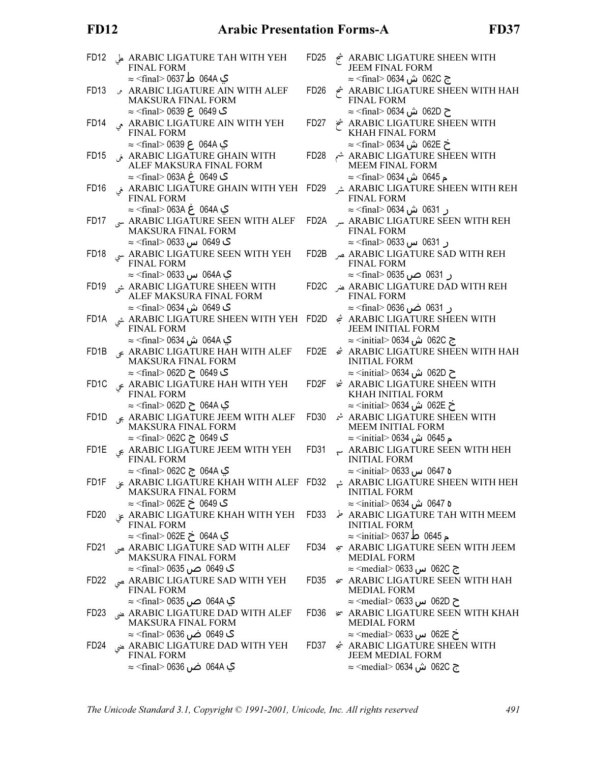## **FD12**

| FD <sub>12</sub>  | ARABIC LIGATURE TAH WITH YEH على<br><b>FINAL FORM</b>                                                     | FD <sub>25</sub>  | ARABIC LIGATURE SHEEN WITH شجع<br><b>JEEM FINAL FORM</b>                                                            |
|-------------------|-----------------------------------------------------------------------------------------------------------|-------------------|---------------------------------------------------------------------------------------------------------------------|
| FD <sub>13</sub>  | ي 064A ط 0637 <rfinal> 0637<br/>ARABIC LIGATURE AIN WITH ALEF<br/>MAKSURA FINAL FORM</rfinal>             | FD <sub>26</sub>  | ج 062C ش 0634⊙ <final> 0634<br/>ARABIC LIGATURE SHEEN WITH HAH<br/><b>FINAL FORM</b></final>                        |
| FD <sub>14</sub>  | ی 0649 ع 0639 <final> 0639<br/>ARABIC LIGATURE AIN WITH YEH<br/><b>FINAL FORM</b></final>                 | FD <sub>27</sub>  | ح 062D ش 0634 ≍final> 0634<br>ARABIC LIGATURE SHEEN WITH<br>KHAH FINAL FORM                                         |
| FD <sub>15</sub>  | ي 064A ع 0639 <final> 0639 ≈<br/>ARABIC LIGATURE GHAIN WITH في<br/>ALEF MAKSURA FINAL FORM</final>        | FD <sub>28</sub>  | خ 062E ش 0634⊙ <final> 0634<br/>ARABIC LIGATURE SHEEN WITH شم<br/><b>MEEM FINAL FORM</b></final>                    |
| FD <sub>16</sub>  | ی 0649 غ 063A <final> 063A ⇒<br/>ARABIC LIGATURE GHAIN WITH YEH فى<br/><b>FINAL FORM</b></final>          | FD <sub>29</sub>  | م 0645  ش 0634 <final> 0634<br/>ARABIC LIGATURE SHEEN WITH REH<br/><b>FINAL FORM</b></final>                        |
| FD <sub>17</sub>  | ي 064A غ 063A <rai> ∞<br/>ARABIC LIGATURE SEEN WITH ALEF MAKSURA FINAL FORM</rai>                         | FD2A              | ر 0631 ش 0634> ≈ <final><br/>ARABIC LIGATURE SEEN WITH REH<br/><b>FINAL FORM</b></final>                            |
| FD <sub>18</sub>  | <b>ک</b> 0649 س 0633⊝ <final∻ 06<br="">ARABIC LIGATURE SEEN WITH YEH<br/><b>FINAL FORM</b></final∻>       | FD <sub>2</sub> B | ر 0631 س 0633⊙ <final∻ 063<br="">ARABIC LIGATURE SAD WITH REH عبر<br/><b>FINAL FORM</b></final∻>                    |
| FD <sub>19</sub>  | ي 064A س 0633 >≈ <final><br/>ARABIC LIGATURE SHEEN WITH شي<br/>ALEF MAKSURA FINAL FORM</final>            | FD <sub>2C</sub>  | ر 0631 صن 0635 <final∻ 0635<br="">ARABIC LIGATURE DAD WITH REH عنر<br/><b>FINAL FORM</b></final∻>                   |
| FD <sub>1</sub> A | <b>ک</b> 0649 ش 0634 <final⊃ 0634<br="">ARABIC LIGATURE SHEEN WITH YEH شي<br/>FINAL FORM</final⊃>         | FD2D              | ر 0631 ضں 0636 <final∻ 063<br=""><u>е</u> ARABIC LIGATURE SHEEN WITH<br/>JEEM INITIAL FORM</final∻>                 |
| FD <sub>1</sub> B | ي 064A ش 0634 <final> 0634<br/>ARABIC LIGATURE HAH WITH ALEF<br/>MAKSURA FINAL FORM</final>               | FD2E              | ج 062C ش 0634 <initial> 0634<br/><b>INITIAL FORM</b></initial>                                                      |
| FD <sub>1</sub> C | ک 0649 ح 062D <rinal> 062D<br/>ARABIC LIGATURE HAH WITH YEH<br/><b>FINAL FORM</b></rinal>                 | FD <sub>2</sub> F | ح 062D ش 0634∂ <initial> 0634<br/>† ARABIC LIGATURE SHEEN WITH<br/>KHAH INITIAL FORM</initial>                      |
| FD <sub>1</sub> D | ي 064A ح 062D <rinal> 062D<br/>&amp; ARABIC LIGATURE JEEM WITH ALEF<br/><b>MAKSURA FINAL FORM</b></rinal> | FD <sub>30</sub>  | خ 062E ش 0634 <initial> 0634<br/>ARABIC LIGATURE SHEEN WITH<br/>MEEM INITIAL FORM</initial>                         |
| FD1E              | ک 0649  ج 062C  ج cfinal> 062C<br>ARABIC LIGATURE JEEM WITH YEH FINAL FORM                                | FD31              | م 0645  ش 0634 <initial> 0634<br/><math>\sim</math> ARABIC LIGATURE SEEN WITH HEH<br/><b>INITIAL FORM</b></initial> |
| FD1F              | ي 064A ج 062C <final> 062C<br/>ARABIC LIGATURE KHAH WITH ALEF FD32 بنى<br/>MAKSURA FINAL FORM</final>     |                   | ه 0647 س 0633 — <initial> 0633<br/>ARABIC LIGATURE SHEEN WITH HEH<br/><b>INITIAL FORM</b></initial>                 |
| FD <sub>20</sub>  | ی 0649 خ 062E ⇒ cfinal> 062E<br>ARABIC LIGATURE KHAH WITH YEH<br><b>FINAL FORM</b>                        | FD <sub>33</sub>  | ہ 0647 ش 0634 <initial> 0634<br/>ARABIC LIGATURE TAH WITH MEEM<br/><b>INITIAL FORM</b></initial>                    |
| FD <sub>21</sub>  | ي 064A خ 062E > ≪final> 062E<br>ARABIC LIGATURE SAD WITH ALEF صي<br><b>MAKSURA FINAL FORM</b>             | FD <sub>34</sub>  | م 0645 ط 0637 <initial> 0637 ∞<br/>∉ ARABIC LIGATURE SEEN WITH JEEM<br/><b>MEDIAL FORM</b></initial>                |
| FD <sub>22</sub>  | ARABIC LIGATURE SAD WITH YEH صى<br><b>FINAL FORM</b>                                                      | FD <sub>35</sub>  | ج 062C س 0633 ⊙medial> 0633<br>$\leq$ ARABIC LIGATURE SEEN WITH HAH<br><b>MEDIAL FORM</b>                           |
| FD <sub>23</sub>  | ي 064A ص 0635 >≈ <final><br/>ARABIC LIGATURE DAD WITH ALEF عنى<br/>MAKSURA FINAL FORM</final>             | FD <sub>36</sub>  | ح 062D س 0633 medial> 0633<br>⊭ ARABIC LIGATURE SEEN WITH KHAH<br><b>MEDIAL FORM</b>                                |
| FD24              | ک 0649 ضں 0636 <final∽ 063<br="">ARABIC LIGATURE DAD WITH YEH عنى<br/><b>FINAL FORM</b></final∽>          | FD37              | ح 062E س 0633 medial> 0633<br>ARABIC LIGATURE SHEEN WITH شجع<br><b>JEEM MEDIAL FORM</b>                             |
|                   | ڳ 064A ضن 0636 <final> 063</final>                                                                        |                   | ج 062C ش 0634 <medial> 0634</medial>                                                                                |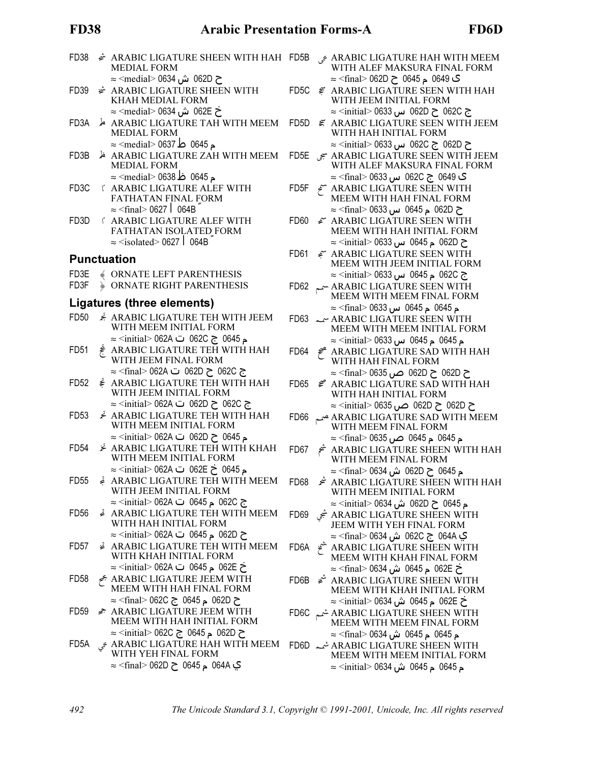#### **FD38**

| FD38              | <b><i><del>₫</del></i></b> ARABIC LIGATURE SHEEN WITH HAH FD5B<br><b>MEDIAL FORM</b>                               |                  | $\epsilon$ ARABIC LIGATURE HAH WITH MEEM<br>WITH ALEF MAKSURA FINAL FORM                                            |
|-------------------|--------------------------------------------------------------------------------------------------------------------|------------------|---------------------------------------------------------------------------------------------------------------------|
| FD39              | ح 062D ش 0634 <medial> 0634<br/>† ARABIC LIGATURE SHEEN WITH<br/>KHAH MEDIAL FORM</medial>                         | FD5C             | ڪ 0649 م 0645 ح 062D ⊝ <final> 062D<br/>€ ARABIC LIGATURE SEEN WITH HAH<br/>WITH JEEM INITIAL FORM</final>          |
| FD3A              | خ 062E ش 0634 <medial> 0634<br/>ARABIC LIGATURE TAH WITH MEEM<br/><b>MEDIAL FORM</b></medial>                      | FD5D             | ج 062C ح 062D س 0625 > ≈ <initial><br/>€ ARABIC LIGATURE SEEN WITH JEEM<br/>WITH HAH INITIAL FORM</initial>         |
| FD3B              | م 0645 ط 0637 <medial> 0637<br/>ARABIC LIGATURE ZAH WITH MEEM</medial>                                             | FD5E             | ح 062D ج 062C س 0633 w <initial><br/>ARABIC LIGATURE SEEN WITH JEEM سبي</initial>                                   |
|                   | <b>MEDIAL FORM</b><br>م 0645 ظ 0638 <medial> 0638</medial>                                                         |                  | WITH ALEF MAKSURA FINAL FORM<br>ڪ 0649  ج 062C س 0633 –≈ <final></final>                                            |
| FD <sub>3</sub> C | <b>( ARABIC LIGATURE ALEF WITH</b><br>FATHATAN FINAL FORM<br>$\approx$ <final> 0627 <math>\mid</math> 064B</final> |                  | FD5F & ARABIC LIGATURE SEEN WITH MEEM WITH HAH FINAL FORM<br>ح 062D م 0645 س 0633⊙ <final⊃ 0633<="" td=""></final⊃> |
| FD3D              | <b>ARABIC LIGATURE ALEF WITH</b><br>FATHATAN ISOLATED FORM                                                         | FD60             | € ARABIC LIGATURE SEEN WITH<br>MEEM WITH HAH INITIAL FORM                                                           |
|                   | $\approx$ <isolated> 0627   064B</isolated>                                                                        |                  | ح 062D م 0645 س 0633⊙ <initial> 0633</initial>                                                                      |
|                   | <b>Punctuation</b>                                                                                                 | FD61             | € ARABIC LIGATURE SEEN WITH<br>MEEM WITH JEEM INITIAL FORM                                                          |
| FD3E              | <b>WORNATE LEFT PARENTHESIS</b>                                                                                    |                  | ج 062C م 0645 س 0633⊙ <initial> 0633</initial>                                                                      |
| FD3F              | <b>DRNATE RIGHT PARENTHESIS</b><br>Ligatures (three elements)                                                      |                  | FD62 ARABIC LIGATURE SEEN WITH<br>MEEM WITH MEEM FINAL FORM                                                         |
|                   |                                                                                                                    |                  | م 0645 م 0645 س 0633⊝ <final> 0633</final>                                                                          |
| FD <sub>50</sub>  | ARABIC LIGATURE TEH WITH JEEM<br>WITH MEEM INITIAL FORM                                                            |                  | FD63 ~ ARABIC LIGATURE SEEN WITH<br>MEEM WITH MEEM INITIAL FORM                                                     |
| FD <sub>51</sub>  | م 0645 ج 062C ت 062A ≫ ≼initial> 062A<br>≹ ARABIC LIGATURE TEH WITH HAH                                            |                  | م 0645 م 0645 س 0633⊙ <initial> 0633</initial>                                                                      |
|                   | WITH JEEM FINAL FORM                                                                                               |                  | FD64 $\neq$ ARABIC LIGATURE SAD WITH HAH<br>WITH HAH FINAL FORM                                                     |
|                   | ج 062C ح 062D ت 062A <rinal> 062A</rinal>                                                                          |                  | ح 062D ح 062D ص 0635 ≈ <final></final>                                                                              |
| FD52              | ≹ ARABIC LIGATURE TEH WITH HAH<br>WITH JEEM INITIAL FORM                                                           | FD65             | € ARABIC LIGATURE SAD WITH HAH<br>WITH HAH INITIAL FORM                                                             |
|                   | ج 062C ح 062D ت 062A ⇔ <initial> 062A</initial>                                                                    |                  | ح 062D ح 062D ص 0635 ∝initial> 0635                                                                                 |
| FD <sub>53</sub>  | <u>҂</u> ARABIC LIGATURE ТЕН WITH НАН<br>WITH MEEM INITIAL FORM                                                    | FD66             | ARABIC LIGATURE SAD WITH MEEM WITH MEEM FINAL FORM                                                                  |
| FD <sub>54</sub>  | م 0645 ح 062D ت 062A ≫ s <initial> 062A<br/><b>≱ ARABIC LIGATURE TEH WITH KHAH</b></initial>                       | FD67             | م 0645 م 0645 ص 0635 >≈ <final><br/>ARABIC LIGATURE SHEEN WITH HAH شح</final>                                       |
|                   | WITH MEEM INITIAL FORM<br>م 0645 خ 062E ت 062A ≪initial> 062A ≈                                                    |                  | WITH MEEM FINAL FORM<br>م 0645 ح 062D ش 0634 <final> 0634</final>                                                   |
| FD <sub>55</sub>  | ARABIC LIGATURE TEH WITH MEEM                                                                                      | FD68             | ARABIC LIGATURE SHEEN WITH HAH تتحد                                                                                 |
|                   | WITH JEEM INITIAL FORM                                                                                             |                  | WITH MEEM INITIAL FORM                                                                                              |
| FD <sub>56</sub>  | ج 062C م 0645 ت 062A <initial> 062A ي<br/>ARABIC LIGATURE TEH WITH MEEM</initial>                                  |                  | م 0645 ح 062D ش 0634 <initial> 0634 ∞</initial>                                                                     |
|                   | WITH HAH INITIAL FORM                                                                                              | FD <sub>69</sub> | ARABIC LIGATURE SHEEN WITH شجى<br>JEEM WITH YEH FINAL FORM                                                          |
|                   | ح 062D م 0645 ت 062A ⇔ <initial> 062A<br/>ARABIC LIGATURE TEH WITH MEEM</initial>                                  |                  | ي 064A ج 062C ش 0634 <final> 0634</final>                                                                           |
| FD57              | WITH KHAH INITIAL FORM                                                                                             | FD6A             | ARABIC LIGATURE SHEEN WITH شحخ<br>MEEM WITH KHAH FINAL FORM                                                         |
| FD <sub>58</sub>  | خ 062E م 0645 ت 062A ⇒ <initial> 062<br/>ARABIC LIGATURE JEEM WITH بجح</initial>                                   | FD6B             | ح 062E م 0645 ش 0634 > ≈ <final> 0634<br/>ARABIC LIGATURE SHEEN WITH شَمْ</final>                                   |
|                   | MEEM WITH HAH FINAL FORM<br>ح 062D م 0645 ج 620\ <final> 062C</final>                                              |                  | MEEM WITH KHAH INITIAL FORM                                                                                         |
| FD <sub>59</sub>  | ← ARABIC LIGATURE JEEM WITH                                                                                        |                  | ح 062E م 0645 ش 0634 > ≈ <initial> 0634</initial>                                                                   |
|                   | MEEM WITH HAH INITIAL FORM                                                                                         |                  | ARABIC LIGATURE SHEEN WITH شمم<br>MEEM WITH MEEM FINAL FORM                                                         |
| FD <sub>5</sub> A | ح 062D م 0645 ج ⊝0645 ≈ <initial> 062</initial>                                                                    |                  | م 0645  م 0645  ش 0634 <final> 0634<br/>FD6D شمہ ARABIC LIGATURE SHEEN WITH</final>                                 |
|                   | ARABIC LIGATURE HAH WITH MEEM مَي<br>WITH YEH FINAL FORM                                                           |                  | <b>MEEM WITH MEEM INITIAL FORM</b>                                                                                  |
|                   | ي 064A م 0645 ح 062D ⇒ <final> 062D</final>                                                                        |                  | م 0645 م 0645 ش 0634 <initial> 0634 ≈</initial>                                                                     |

|      | ک 0649 م 0645 ح 062D ⇒ <final> 062D</final>                                               |
|------|-------------------------------------------------------------------------------------------|
|      | FD5C & ARABIC LIGATURE SEEN WITH HAH<br>WITH JEEM INITIAL FORM                            |
|      | ج 062C ح 062D س 0633 > ≈ <initial></initial>                                              |
|      | FD5D € ARABIC LIGATURE SEEN WITH JEEM<br>WITH HAH INITIAL FORM                            |
|      | ح 062D ج 062C س 0633 س≒≈ <initial< td=""></initial<>                                      |
|      | FD5E $\tilde{\mathcal{F}}$ ARABIC LIGATURE SEEN WITH JEEM<br>WITH ALEF MAKSURA FINAL FORM |
|      | ڪ 0649  ج 062C س 0633 <final> 063</final>                                                 |
|      | FD5F $\approx$ ARABIC LIGATURE SEEN WITH<br>MEEM WITH HAH FINAL FORM                      |
|      |                                                                                           |
|      | ح 062D م 0645 س 0633⊙ <final> 0633</final>                                                |
| FD60 | £™ ARABIC LIGATURE SEEN WITH                                                              |
|      | MEEM WITH HAH INITIAL FORM                                                                |
|      | ح 062D م 0645 س 0633⊙ <initial> 0633</initial>                                            |
| FD61 | ARABIC LIGATURE SEEN WITH                                                                 |
|      | MEEM WITH JEEM INITIAL FORM                                                               |
|      | ج 062C م 0645 س 0633⊙ <initial> ∞</initial>                                               |
|      | FD62 ARABIC LIGATURE SEEN WITH                                                            |
|      | MEEM WITH MEEM FINAL FORM                                                                 |
|      | م 0645 م 0645 س 0633⊙ <final> 0</final>                                                   |
|      | FD63 ~ ARABIC LIGATURE SEEN WITH                                                          |
|      | MEEM WITH MEEM INITIAL FORM                                                               |
|      | م 0645  م 0645  س 0633  ⊙ <initial> 0633</initial>                                        |
|      | FD64 $\neq$ ARABIC LIGATURE SAD WITH HAH                                                  |
|      | WITH HAH FINAL FORM                                                                       |
|      | ح 062D ح 062D ص 0635 ≈ <final> 0635</final>                                               |
|      | FD65 <del>⊈</del> ARABIC LIGATURE SAD WITH HAH                                            |
|      | WITH HAH INITIAL FORM                                                                     |
|      | ح 062D ح 062D ص 0635 ≈ <initial> 0635</initial>                                           |
| FD66 | ARABIC LIGATURE SAD WITH MEEM صميع                                                        |
|      | WITH MEEM FINAL FORM                                                                      |
|      | م 0645  م 0645  ص 0635  ⊠ <final> 0635</final>                                            |
|      | FD67 $\stackrel{\rightarrow}{\sim}$ ARABIC LIGATURE SHEEN WITH HAH                        |
|      | WITH MEEM FINAL FORM                                                                      |
|      | م 0645 ح 062D ش 0634 <rinal> 0634</rinal>                                                 |
| FD68 | ARABIC LIGATURE SHEEN WITH HAH                                                            |
|      | WITH MEEM INITIAL FORM                                                                    |
|      | <sub>,</sub> 0645 ح 062D ش 0634 <initial> 0634</initial>                                  |
|      | ARABIC LIGATURE SHEEN WITH شجى                                                            |
|      | JEEM WITH YEH FINAL FORM                                                                  |
|      | ي 064A ج 062C ش 0634 <rfinal> 0634</rfinal>                                               |
| FD6A | ARABIC LIGATURE SHEEN WITH تشمخ                                                           |
|      | MEEM WITH KHAH FINAL FORM                                                                 |
|      | خ 062E م 0645 ش 0634 <final> 0634</final>                                                 |
|      | FD6B $\approx$ ARABIC LIGATURE SHEEN WITH                                                 |
|      | MEEM WITH KHAH INITIAL FORM                                                               |
|      | خ 062E م 0645 ش 0634 <initial> 0634</initial>                                             |
|      | FD6C شمع ARABIC LIGATURE SHEEN WITH                                                       |
|      | MEEM WITH MEEM FINAL FORM                                                                 |
|      | م 0645  م 0645  ش 0634 <final> 0634</final>                                               |
|      |                                                                                           |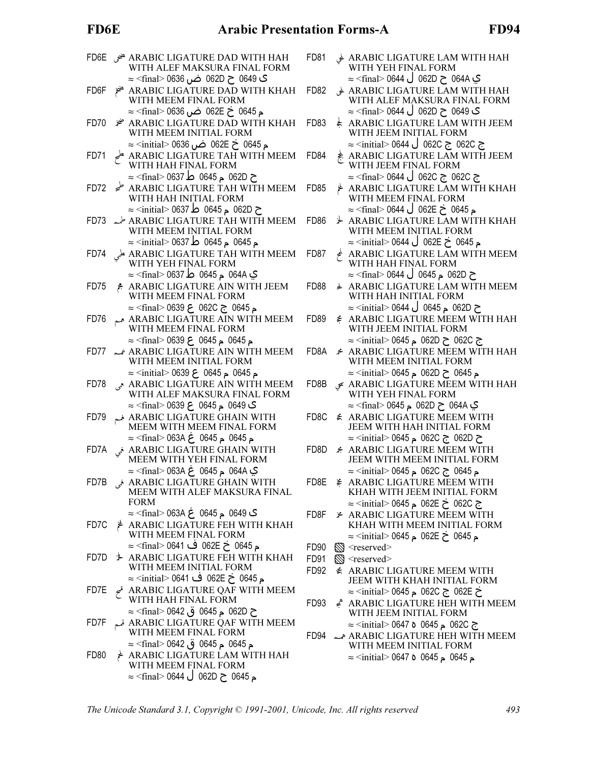# FD6E Arabic Presentation Forms-A FD94

|      | ARABIC LIGATURE DAD WITH HAH هني FD6E<br>WITH ALEF MAKSURA FINAL FORM                                              | FD81             |            | ARABIC LIGATURE LAM WITH HAH لحى<br>WITH YEH FINAL FORM                                                     |
|------|--------------------------------------------------------------------------------------------------------------------|------------------|------------|-------------------------------------------------------------------------------------------------------------|
| FD6F | ک 0649 ح 062D ض 0636 ≈ <final> 0636<br/>≉ ARABIC LIGATURE DAD WITH KHAH<br/>WITH MEEM FINAL FORM</final>           | FD82             |            | ي 064A ح 062D ل 0644 > ≈ (final> 0644<br>ARABIC LIGATURE LAM WITH HAH<br>WITH ALEF MAKSURA FINAL FORM       |
| FD70 | ء 0645 خ 062E ضن 0636 <final> 0636 ≈<br/><b>*</b> ARABIC LIGATURE DAD WITH KHAH<br/>WITH MEEM INITIAL FORM</final> | FD83             |            | ک 0649 ح 062D ل 0644 <final> 0644<br/>ARABIC LIGATURE LAM WITH JEEM<br/>WITH JEEM INITIAL FORM</final>      |
| FD71 | م 0645 خ 062E ضن 0636 <initial> 0636 ≈<br/>ARABIC LIGATURE TAH WITH MEEM</initial>                                 | FD84             |            | ج 062C ج 062C ل 0644 <initial> 0644 ≍<br/>ARABIC LIGATURE LAM WITH JEEM</initial>                           |
|      | WITH HAH FINAL FORM<br>ح 062D م 0645 ط 0637 > ≈ <final></final>                                                    |                  |            | WITH JEEM FINAL FORM<br>ج 062C ج 062C ل 0644 <final> 0644</final>                                           |
|      | FD72 ARABIC LIGATURE TAH WITH MEEM<br>WITH HAH INITIAL FORM<br>ح 062D م 0645 ط 0637 > ≈ <initial></initial>        | FD <sub>85</sub> |            | ARABIC LIGATURE LAM WITH КНАН<br>WITH MEEM FINAL FORM<br>ـم 0645 خ 062E ل 0644 >≈ <final≫< td=""></final≫<> |
|      | FD73 < <a>ARABIC LIGATURE TAH WITH MEEM<br/>WITH MEEM INITIAL FORM</a>                                             | FD <sub>86</sub> |            | ⊁ ARABIC LIGATURE LAM WITH KHAH<br>WITH MEEM INITIAL FORM                                                   |
|      | م 0645 م 0645 ط 0637 <initial> 0637 ∞</initial>                                                                    | FD87             | $\epsilon$ | م 0645 خ 062E ل 0644 <initial> 0644 ≈<br/>ARABIC LIGATURE LAM WITH MEEM<br/>WITH HAH FINAL FORM</initial>   |
|      | ي 064A م 0645 ط 0637 > ≈ <final></final>                                                                           |                  |            | ح 062D م 0645 ل 0644 <rinal> 0644 ≈</rinal>                                                                 |
| FD75 | ARABIC LIGATURE AIN WITH JEEM<br>WITH MEEM FINAL FORM                                                              | FD88             |            | <b>ARABIC LIGATURE LAM WITH MEEM</b><br>WITH HAH INITIAL FORM                                               |
|      | م 0645 ج 062C ع 0639 <final> 0639 ≈</final>                                                                        |                  |            | ح 062D م 0645 ل 0644 > ≈ <initial></initial>                                                                |
|      | FD76 ARABIC LIGATURE AIN WITH MEEM<br>WITH MEEM FINAL FORM                                                         | FD89             |            | € ARABIC LIGATURE MEEM WITH HAH<br>WITH JEEM INITIAL FORM                                                   |
|      | م 0645 م 0645 ع 0639 <rfinal> 0639 ≈<br/>FD77 &amp; ARABIC LIGATURE AIN WITH MEEM</rfinal>                         | FD8A             |            | ج 062C ح 062D م 0645> ≈ <initial> 0645<br/>← ARABIC LIGATURE MEEM WITH HAH</initial>                        |
|      | WITH MEEM INITIAL FORM                                                                                             |                  |            | WITH MEEM INITIAL FORM                                                                                      |
|      | م 0645 م 0645 ع 0639 <initial> 0639 ≈</initial>                                                                    |                  |            | م 0645 ح 062D م 0645 > ≈ <initial></initial>                                                                |
| FD78 | ARABIC LIGATURE AIN WITH MEEM WITH ALEF MAKSURA FINAL FORM                                                         | FD8B             |            | ARABIC LIGATURE MEEM WITH HAH مَعِ<br>WITH YEH FINAL FORM                                                   |
|      | ک 0649 م 0645 ع 0639 <final> 0639 ≈</final>                                                                        |                  |            | ي 064A ح 062D م 0645> ≈ <final> 0645<br/>€ ARABIC LIGATURE MEEM WITH</final>                                |
| FD79 | ARABIC LIGATURE GHAIN WITH MEEM WITH MEEM FINAL FORM                                                               | FD8C             |            | JEEM WITH HAH INITIAL FORM                                                                                  |
|      | م 0645 م 0645 غ 063A <rinal> 063A ح</rinal>                                                                        | FD8D             |            | ح 062D ج 062C ج 062C م 0645> ≈<br><i><b>★ ARABIC LIGATURE MEEM WITH</b></i>                                 |
| FD7A | ARABIC LIGATURE GHAIN WITH خي<br>MEEM WITH YEH FINAL FORM<br>ي 064A م 0645 غ 063A <rinal> 063A ي</rinal>           |                  |            | JEEM WITH MEEM INITIAL FORM<br>م 0645 ج 062C م 0645> ≈ <initial> 0645</initial>                             |
|      | ARABIC LIGATURE GHAIN WITH فِي PD7B                                                                                | FD8E             |            | ≱ ARABIC LIGATURE MEEM WITH                                                                                 |
|      | MEEM WITH ALEF MAKSURA FINAL                                                                                       |                  |            | KHAH WITH JEEM INITIAL FORM                                                                                 |
|      | <b>FORM</b><br>ڪ 0649 م 0645 غ 063A <rinal> 063A م</rinal>                                                         | FD8F             |            | ج 062C خ 062E م 0645 > ≈ <initial><br/>⊁ ARABIC LIGATURE MEEM WITH</initial>                                |
| FD7C | ዾ゙<br>АRABIC LIGATURE FEH WITH KHAH                                                                                |                  |            | KHAH WITH MEEM INITIAL FORM                                                                                 |
|      | WITH MEEM FINAL FORM                                                                                               |                  |            | م 0645 خ 062E م 0645> ≈ <initial> 0645</initial>                                                            |
|      | م 0645 خ 062E ف 0641> ∞ final> 0641                                                                                | FD <sub>90</sub> |            | $\otimes$ <reserved></reserved>                                                                             |
| FD7D | <b>ARABIC LIGATURE FEH WITH KHAH</b><br>WITH MEEM INITIAL FORM                                                     | FD91             |            | $\mathbb{S}$ <reserved></reserved>                                                                          |
|      | م 0645 خ 062E ف 0641> ≈ <initial> 0641</initial>                                                                   | FD92             |            | € ARABIC LIGATURE MEEM WITH<br>JEEM WITH KHAH INITIAL FORM                                                  |
| FD7E | ARABIC LIGATURE QAF WITH MEEM                                                                                      |                  |            | خ 062E ج 062C ج 062C م 0645> ≈ <initial></initial>                                                          |
|      | WITH HAH FINAL FORM                                                                                                | FD <sub>93</sub> |            | АRABIC LIGATURE НЕН WITH МЕЕМ                                                                               |
|      | ح 062D م 0645 ق 0642 > ≈ <final></final>                                                                           |                  |            | WITH JEEM INITIAL FORM                                                                                      |
| FD7F | ARABIC LIGATURE QAF WITH MEEM تمم<br>WITH MEEM FINAL FORM                                                          |                  |            | ج 062C م 0645 ہ 0647 > ≈ <initial><br/>FD94 هــه ARABIC LIGATURE HEH WITH MEEM</initial>                    |
|      | م 0645 م 0645 ق 0642> ≈ <final> 0642</final>                                                                       |                  |            | WITH MEEM INITIAL FORM                                                                                      |
| FD80 | ARABIC LIGATURE LAM WITH HAH                                                                                       |                  |            | م 0645 م 0645 0 1647> ≈ <initial> 0647</initial>                                                            |
|      | WITH MEEM FINAL FORM<br>م 0645 ح 062D ل 0644 <rfinal> 0644 ≈</rfinal>                                              |                  |            |                                                                                                             |
|      |                                                                                                                    |                  |            |                                                                                                             |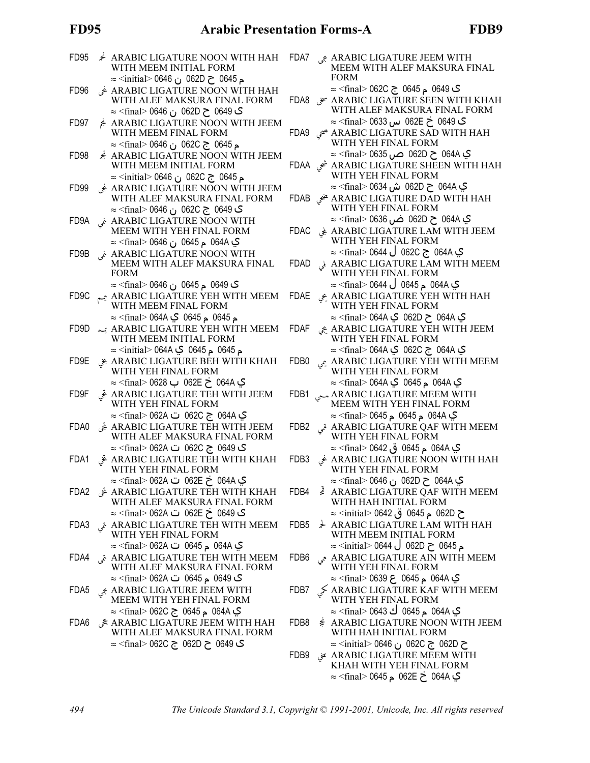## **FD95**

| FD <sub>95</sub>  | <b>ARABIC LIGATURE NOON WITH HAH</b><br>WITH MEEM INITIAL FORM<br>م 0645 ح 062D ن 0646 ⊗initial> 0646                                                                                                           | FDA7             | ARABIC LIGATURE JEEM WITH جي<br>MEEM WITH ALEF MAKSURA FINAL<br><b>FORM</b>                                                                                    |
|-------------------|-----------------------------------------------------------------------------------------------------------------------------------------------------------------------------------------------------------------|------------------|----------------------------------------------------------------------------------------------------------------------------------------------------------------|
| FD <sub>96</sub>  | ARABIC LIGATURE NOON WITH HAH غى<br>WITH ALEF MAKSURA FINAL FORM                                                                                                                                                |                  | ڪ 0649 م 0645 ج 062C ⇒ <final> 062C<br/>ARABIC LIGATURE SEEN WITH KHAH سحتى PDA8<br/>WITH ALEF MAKSURA FINAL FORM</final>                                      |
| FD97              | ک 0649 ح 062D ن 0646 ⊠ <final> 064<br/>ARABIC LIGATURE NOON WITH JEEM بجم<br/>WITH MEEM FINAL FORM</final>                                                                                                      |                  | گ 0649 خ 062E س 0633 >≈ <final<br>ARABIC LIGATURE SAD WITH HAH هيي</final<br>                                                                                  |
| FD <sub>98</sub>  | م 0645  ج 062C  ن 0646 ⊠ <final> 064<br/><i>A</i> ARABIC LIGATURE NOON WITH JEEM<br/>WITH MEEM INITIAL FORM</final>                                                                                             |                  | WITH YEH FINAL FORM<br>ي 064A ح 062D ص 0635 ≈ <final> 0635<br/>ARABIC LIGATURE SHEEN WITH HAH شحى</final>                                                      |
| FD <sub>99</sub>  | م 0645 ج 062C ن 0646 >≈ (initial> 0646<br>ARABIC LIGATURE NOON WITH JEEM بَجى                                                                                                                                   |                  | WITH YEH FINAL FORM<br>ي 064A ح 062D ش 0634> ≈ <final> 0634</final>                                                                                            |
| FD9A              | WITH ALEF MAKSURA FINAL FORM<br>ڪ 0649  ج 062C  ن 0646 >≈ <final< td=""><td></td><td>FDAB هني ARABIC LIGATURE DAD WITH HAH<br/>WITH YEH FINAL FORM<br/>ي 064A ح 062D ض 0636 ≈<final> 0636</final></td></final<> |                  | FDAB هني ARABIC LIGATURE DAD WITH HAH<br>WITH YEH FINAL FORM<br>ي 064A ح 062D ض 0636 ≈ <final> 0636</final>                                                    |
|                   | ARABIC LIGATURE NOON WITH غي<br>MEEM WITH YEH FINAL FORM<br>ي 064A م 0645 ن 0646 ⊠r <final> 064<br/>ARABIC LIGATURE NOON WITH</final>                                                                           | FDAC             | ARABIC LIGATURE LAM WITH JEEM لِمْ<br>WITH YEH FINAL FORM<br>ي 064A ج 062C ل 0644 <rfinal> 0644 ≈</rfinal>                                                     |
| FD <sub>9</sub> B | MEEM WITH ALEF MAKSURA FINAL<br><b>FORM</b>                                                                                                                                                                     | <b>FDAD</b>      | ARABIC LIGATURE LAM WITH MEEM<br>WITH YEH FINAL FORM                                                                                                           |
| FD <sub>9</sub> C | ڪ 0649  م 0645  ن 0646 ⊠mal> 0646  چ<br>ARABIC LIGATURE YEH WITH MEEM يمم<br>WITH MEEM FINAL FORM                                                                                                               | <b>FDAE</b>      | ي 064A م 0645 ل 0644 <r̃inal ≂<br="">ARABIC LIGATURE YEH WITH HAH جى<br/>WITH YEH FINAL FORM</r̃inal>                                                          |
| FD9D              | م 0645  م 0645  ي 064A ⊘final> 064A  —<br>ARABIC LIGATURE YEH WITH MEEM يمه<br>WITH MEEM INITIAL FORM                                                                                                           | FDAF             | ي 064A ح 062D ي final> 064A <<br>ARABIC LIGATURE YEH WITH JEEM بجي<br>WITH YEH FINAL FORM                                                                      |
| FD <sub>9E</sub>  | م 0645 م 0645 كي 064A <initial> 064<br/>ARABIC LIGATURE BEH WITH KHAH بخى</initial>                                                                                                                             | FDB <sub>0</sub> | ي 064A ج 062C ي final> 064A <<br>ARABIC LIGATURE YEH WITH MEEM يي ARABIC LIGATURE YEH WITH MEEM                                                                |
| FD <sub>9F</sub>  | WITH YEH FINAL FORM<br>ي 064A خ 062E ب 0628 > ≈ <final> 0628<br/>ARABIC LIGATURE TEH WITH JEEM بَقى</final>                                                                                                     | FDB1             | ي 064A م 0645  ي. cfinal> 064A  چـ<br>ARABIC LIGATURE MEEM WITH ــي                                                                                            |
|                   | WITH YEH FINAL FORM<br>ي 064A ج 062C ت 062A > ≈ <final> 062A<br/>ARABIC LIGATURE TEH WITH JEEM بِجْي</final>                                                                                                    |                  | <b>MEEM WITH YEH FINAL FORM</b><br>ي 064A م 0645 م 0645 ≍ ⊂final> 0645                                                                                         |
| FDA0              | WITH ALEF MAKSURA FINAL FORM<br>گ 0649  ج 062C  ت 062A ≍ <final> 062A</final>                                                                                                                                   | FDB2             | ARABIC LIGATURE QAF WITH MEEM تحى<br>WITH YEH FINAL FORM<br>ي 064A م 0645 ق 0642 > ≈ <final></final>                                                           |
| FDA1              | ARABIC LIGATURE TEH WITH KHAH غَ<br>WITH YEH FINAL FORM<br>ي 064A خ 062E ت 062A ≈ <final> 062A</final>                                                                                                          | FDB3             | ARABIC LIGATURE NOON WITH HAH غى<br>WITH YEH FINAL FORM<br>ي 064A ح 062D ن 0646 >≈ <final></final>                                                             |
| FDA2              | ARABIC LIGATURE TEH WITH KHAH غَ<br>WITH ALEF MAKSURA FINAL FORM                                                                                                                                                | FDB4             | ARABIC LIGATURE QAF WITH MEEM<br>WITH HAH INITIAL FORM                                                                                                         |
| FDA3              | ی 0649 خ 062E ت 062A ⇒ <final> 062A<br/>ARABIC LIGATURE TEH WITH MEEM تمى<br/>WITH YEH FINAL FORM</final>                                                                                                       | FDB <sub>5</sub> | ح 062D م 0645 ق 0642 > ≈ <initial><br/><math>\downarrow</math> ARABIC LIGATURE LAM WITH HAH<br/>WITH MEEM INITIAL FORM</initial>                               |
| FDA4              | ي 064A م 0645 ت 062A ت cfinal> 062A ≈<br>ARABIC LIGATURE TEH WITH MEEM تمى<br>WITH ALEF MAKSURA FINAL FORM                                                                                                      | FDB <sub>6</sub> | ⊾ 0645 ح 062D ل 0644 <initial> 0644<br/>ARABIC LIGATURE AIN WITH MEEM محمى<br/>WITH YEH FINAL FORM</initial>                                                   |
| FDA5              | ک 0649 م 0645 ت 062A ت cfinal> 062A ≈<br>ARABIC LIGATURE JEEM WITH بجى<br>MEEM WITH YEH FINAL FORM                                                                                                              | FDB7             | ي 064A م 0645 ع 0639 <refinal> 0639 ≈<br/>ARABIC LIGATURE KAF WITH MEEM WITH YEH FINAL FORM</refinal>                                                          |
| FDA6              | ي 064A م 0645 ج 062C ⇒ <final> 062C<br/>ARABIC LIGATURE JEEM WITH HAH عجى<br/>WITH ALEF MAKSURA FINAL FORM</final>                                                                                              | FDB8             | ي 064A م 0645 ك 0643 <rfinal> 064<br/><b>≹ ARABIC LIGATURE NOON WITH JEEM</b><br/>WITH HAH INITIAL FORM</rfinal>                                               |
|                   | ڪ 0649 ح 062D ج 62C∖ cfinal> 062C                                                                                                                                                                               | FDB9             | ح 062D ج 062C ن 0646 >≈ <initial<br>ARABIC LIGATURE MEEM WITH ہي<br/>KHAH WITH YEH FINAL FORM<br/>ي 064A خ 062E م 0645&gt; ≈ <final> 0645</final></initial<br> |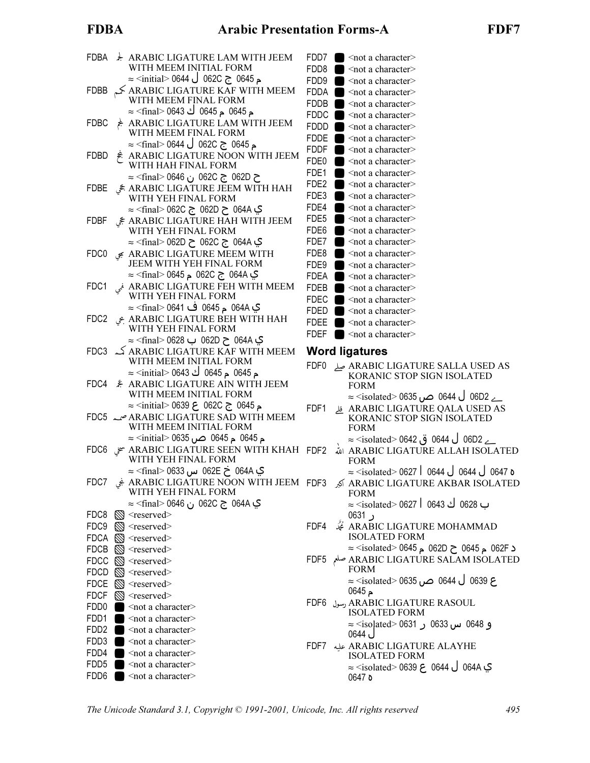### **FDBA**

|                      | FDBA : ARABIC LIGATURE LAM WITH JEEM<br>WITH MEEM INITIAL FORM                                                                                                                                                                                                               | FDD7<br>FDD8                                      | $\blacksquare$<br>$\blacksquare$                             |
|----------------------|------------------------------------------------------------------------------------------------------------------------------------------------------------------------------------------------------------------------------------------------------------------------------|---------------------------------------------------|--------------------------------------------------------------|
| FDBB                 | م 0645  ج 062C ل 0644 <initial> 0644 ≈<br/><math>\leq</math> ARABIC LIGATURE KAF WITH MEEM<br/>WITH MEEM FINAL FORM</initial>                                                                                                                                                | FDD9<br>FDDA<br><b>FDDB</b>                       | $\blacksquare$<br>$\blacksquare$<br>$\bullet$                |
| FDBC                 | م 0645 م 0645 ك 0643> ≈ <final> 0643<br/>ARABIC LIGATURE LAM WITH JEEM<br/>WITH MEEM FINAL FORM</final>                                                                                                                                                                      | <b>FDDC</b><br>FDDD<br>FDDE                       | $\bullet$<br>$\blacksquare$<br>$\blacksquare$                |
| FDBD                 | ⊾ 0645 ج 062C ل 0644 > ≈ (final> 0644<br>ARABIC LIGATURE NOON WITH JEEM<br>WITH HAH FINAL FORM                                                                                                                                                                               | <b>FDDF</b><br>FDE0                               | $\bullet$<br>$\bullet$                                       |
| FDBE                 | ح 062D ج 062C ن 0646 ن≤final> 0646<br>ARABIC LIGATURE JEEM WITH HAH جَي<br>WITH YEH FINAL FORM                                                                                                                                                                               | FDE1<br>FDE <sub>2</sub><br>FDE3                  | $\blacksquare$<br>$\blacksquare$<br>$\blacksquare$           |
| FDBF                 | ي 064A ح 062D ج 062C ج final> 062C≻<br>ARABIC LIGATURE HAH WITH JEEM WITH YEH FINAL FORM                                                                                                                                                                                     | FDE4<br>FDE5<br>FDE6                              | $\blacksquare$<br>$\blacksquare$<br>$\blacksquare$           |
| FDC0                 | ي 064A ج 062C ح 62D اnal> 062D ≈<br>ARABIC LIGATURE MEEM WITH ہي<br>JEEM WITH YEH FINAL FORM                                                                                                                                                                                 | FDE7<br>FDE8<br>FDE9                              | $\blacksquare$<br>$\blacksquare$<br>$\blacksquare$           |
| FDC1                 | ي 064A ج 062C م 0645> ≈ <final> 0645<br/>ARABIC LIGATURE FEH WITH MEEM فبي<br/>WITH YEH FINAL FORM</final>                                                                                                                                                                   | FDEA<br><b>FDEB</b><br>FDEC                       | $\blacksquare$<br>$\blacksquare$<br>Ķ<br>$\blacksquare$<br>ś |
| FDC2                 | ي 064A م 0645 ف 0641> ≈ <final> 0641<br/>ARABIC LIGATURE BEH WITH HAH بحى<br/>WITH YEH FINAL FORM</final>                                                                                                                                                                    | FDED <b>O</b><br>FDEE<br>FDEF                     | ś<br>п                                                       |
|                      | ي 064A ح 062D ب 0628 > ≈ <final> 0628<br/>ARABIC LIGATURE KAF WITH MEEM کہ FDC3</final>                                                                                                                                                                                      | <b>Word lig</b>                                   |                                                              |
|                      | WITH MEEM INITIAL FORM                                                                                                                                                                                                                                                       | FDF0                                              |                                                              |
|                      | م 0645 م 0645 ك 0643 > ≈ <initial> 0643<br/>FDC4 &amp; ARABIC LIGATURE AIN WITH JEEM<br/>WITH MEEM INITIAL FORM</initial>                                                                                                                                                    |                                                   |                                                              |
|                      | م 0645 ج 062C ح 0639  0639<br>ARABIC LIGATURE SAD WITH MEEM صمه FDC5<br>WITH MEEM INITIAL FORM                                                                                                                                                                               | FDF1                                              | قلے                                                          |
|                      | م 0645  م 0645  ص 0635  ⊠ <initial> 0635</initial>                                                                                                                                                                                                                           |                                                   |                                                              |
|                      | ي 064A خ 062E س 0633 ∞ا <final> 0633<br/>ا کابر ARABIC LIGATURE NOON WITH JEEM FDF3 کچ FDC7 نیکه ARABIC LIGATURE<br/>WITH YEH FINAL FORM</final>                                                                                                                             |                                                   |                                                              |
|                      | ي 064A ج 062C ن 0646 >≈ <final> 0646<br/>FDC8 <math>\otimes</math> <reserved><br/><math>FDC9 \quad \textcircled{S} \leq</math>reserved&gt;</reserved></final>                                                                                                                |                                                   |                                                              |
|                      | $\mathsf{FDCA}\ \ \bigotimes \ \leq \mathsf{reserved} \geq$<br>$FDCB \quad \textcircled{S} \leq$ reserved><br>$FDCC \quad \textcircled{S} \leq$ reserved>                                                                                                                    | )<br>4 نجگ FDF4<br>1                              |                                                              |
| FDCF<br>FDD0         | $FDCD \quad \textcircled{S} \leq$ reserved><br>$FDCE \quad \textcircled{S} \leq$ reserved><br>S <reserved><br/><math>\blacksquare</math> <not a="" character=""></not></reserved>                                                                                            | ر<br>اسلم FDF5<br>I<br>FDF6                       | م<br>)<br>/ رسول<br>]                                        |
| FDD1<br>FDD4<br>FDD5 | $\blacksquare$ <not a="" character=""><br/>FDD2 <math>\blacksquare</math> <not a="" character=""><br/>FDD3 <math>\Box</math> <not a="" character=""><br/><math>\blacksquare</math> <not a="" character=""><br/><math>\sim</math> not a character&gt;</not></not></not></not> | <sup>ء</sup><br>)<br><sub>/</sub> عليه  FDF7<br>] |                                                              |

| FDD7 | <not a="" character=""></not> |
|------|-------------------------------|
| FDD8 | <not a="" character=""></not> |
| FDD9 | <not a="" character=""></not> |
| FDDA | <not a="" character=""></not> |
| FDDB | <not a="" character=""></not> |
| FDDC | <not a="" character=""></not> |
| FDDD | $\leq$ not a character $\geq$ |
| FDDE | $\leq$ not a character $\geq$ |
| FDDF | $\leq$ not a character $\geq$ |
| FDE0 | $\leq$ not a character $\geq$ |
| FDE1 | <not a="" character=""></not> |
| FDE2 | <not a="" character=""></not> |
| FDE3 | <not a="" character=""></not> |
| FDF4 | <not a="" character=""></not> |
| FDE5 | <not a="" character=""></not> |
| FDE6 | $\leq$ not a character $\geq$ |
| FDE7 | <not a="" character=""></not> |
| FDE8 | <not a="" character=""></not> |
| FDE9 | $\leq$ not a character $\geq$ |
| FDFA | <not a="" character=""></not> |
| FDEB | $\leq$ not a character $\geq$ |
| FDFC | <not a="" character=""></not> |
| FDED | $\leq$ not a character $\geq$ |
| FDFF | $\leq$ not a character $\geq$ |
| FDEF | $\leq$ not a character $\geq$ |
|      |                               |

#### gatures

|       | ARABIC LIGATURE SALLA USED AS صلى PARABIC LIGATURE SALLA USED S                           |
|-------|-------------------------------------------------------------------------------------------|
|       |                                                                                           |
|       | <b>FORM</b>                                                                               |
|       | $\approx$ <isolated> 0635 ص 0635 0644 <math>\sim</math> 06D2 <math>\sim</math></isolated> |
| DF1 I | ARABIC LIGATURE QALA USED AS قل                                                           |
|       |                                                                                           |

- KORANIC STOP SIGN ISOLATED **FORM** 
	- \_ے 06D2 ل 0644 ق 0642> ≈<isolated ق
- ARABIC LIGATURE ALLAH ISOLATED **FORM** 
	- ہ 0647 ل 0644 ل 0644 l o644 <isolated> 0627
	- ARABIC LIGATURE AKBAR ISOLATED **FORM** ب 0628 ك 0643 l 0643> ≈

ر 0631

- ARABIC LIGATURE MOHAMMAD **ISOLATED FORM** 
	- د 062F م 0645 ح 062D م 1solated> 0645 ≈
- ARABIC LIGATURE SALAM ISOLATED **FORM** ِع 0639 ل 0644 ص 0635> ≈ <isolated> م 0645
- ARABIC LIGATURE RASOUL **ISOLATED FORM** و 0648 س 0633 ر 0631 <isoḷated > ل 0644
- **ARABIC LIGATURE ALAYHE ISOLATED FORM** ي 064A ل 0644 ع 0639 <isolated> 0639 ≈ ە 0647